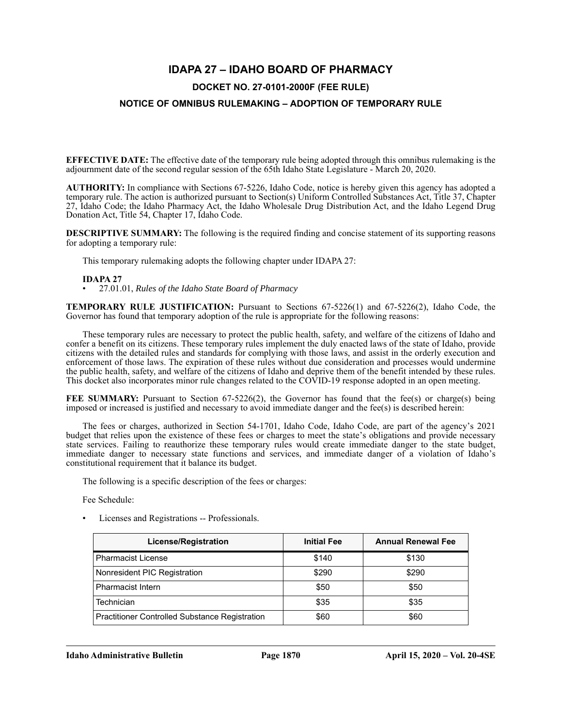# **IDAPA 27 – IDAHO BOARD OF PHARMACY**

## **DOCKET NO. 27-0101-2000F (FEE RULE)**

## **NOTICE OF OMNIBUS RULEMAKING – ADOPTION OF TEMPORARY RULE**

**EFFECTIVE DATE:** The effective date of the temporary rule being adopted through this omnibus rulemaking is the adjournment date of the second regular session of the 65th Idaho State Legislature - March 20, 2020.

**AUTHORITY:** In compliance with Sections 67-5226, Idaho Code, notice is hereby given this agency has adopted a temporary rule. The action is authorized pursuant to Section(s) Uniform Controlled Substances Act, Title 37, Chapter 27, Idaho Code; the Idaho Pharmacy Act, the Idaho Wholesale Drug Distribution Act, and the Idaho Legend Drug Donation Act, Title 54, Chapter 17, Idaho Code.

**DESCRIPTIVE SUMMARY:** The following is the required finding and concise statement of its supporting reasons for adopting a temporary rule:

This temporary rulemaking adopts the following chapter under IDAPA 27:

#### **IDAPA 27**

• 27.01.01, *Rules of the Idaho State Board of Pharmacy*

**TEMPORARY RULE JUSTIFICATION:** Pursuant to Sections 67-5226(1) and 67-5226(2), Idaho Code, the Governor has found that temporary adoption of the rule is appropriate for the following reasons:

These temporary rules are necessary to protect the public health, safety, and welfare of the citizens of Idaho and confer a benefit on its citizens. These temporary rules implement the duly enacted laws of the state of Idaho, provide citizens with the detailed rules and standards for complying with those laws, and assist in the orderly execution and enforcement of those laws. The expiration of these rules without due consideration and processes would undermine the public health, safety, and welfare of the citizens of Idaho and deprive them of the benefit intended by these rules. This docket also incorporates minor rule changes related to the COVID-19 response adopted in an open meeting.

**FEE SUMMARY:** Pursuant to Section 67-5226(2), the Governor has found that the fee(s) or charge(s) being imposed or increased is justified and necessary to avoid immediate danger and the fee(s) is described herein:

The fees or charges, authorized in Section 54-1701, Idaho Code, Idaho Code, are part of the agency's 2021 budget that relies upon the existence of these fees or charges to meet the state's obligations and provide necessary state services. Failing to reauthorize these temporary rules would create immediate danger to the state budget, immediate danger to necessary state functions and services, and immediate danger of a violation of Idaho's constitutional requirement that it balance its budget.

The following is a specific description of the fees or charges:

Fee Schedule:

• Licenses and Registrations -- Professionals.

| License/Registration                                  | <b>Initial Fee</b> | <b>Annual Renewal Fee</b> |
|-------------------------------------------------------|--------------------|---------------------------|
| <b>Pharmacist License</b>                             | \$140              | \$130                     |
| Nonresident PIC Registration                          | \$290              | \$290                     |
| <b>Pharmacist Intern</b>                              | \$50               | \$50                      |
| Technician                                            | \$35               | \$35                      |
| <b>Practitioner Controlled Substance Registration</b> | \$60               | \$60                      |

**Idaho Administrative Bulletin Page 1870 April 15, 2020 – Vol. 20-4SE**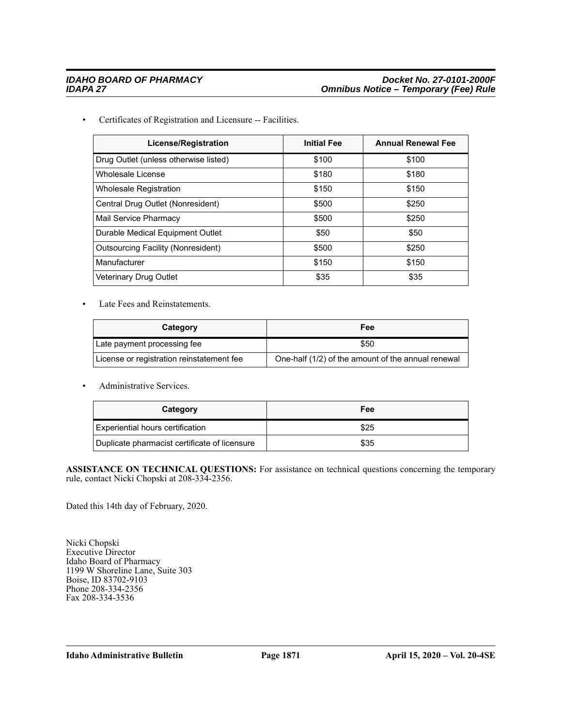• Certificates of Registration and Licensure -- Facilities.

| <b>License/Registration</b>               | <b>Initial Fee</b> | <b>Annual Renewal Fee</b> |
|-------------------------------------------|--------------------|---------------------------|
| Drug Outlet (unless otherwise listed)     | \$100              | \$100                     |
| Wholesale License                         | \$180              | \$180                     |
| <b>Wholesale Registration</b>             | \$150              | \$150                     |
| Central Drug Outlet (Nonresident)         | \$500              | \$250                     |
| Mail Service Pharmacy                     | \$500              | \$250                     |
| Durable Medical Equipment Outlet          | \$50               | \$50                      |
| <b>Outsourcing Facility (Nonresident)</b> | \$500              | \$250                     |
| Manufacturer                              | \$150              | \$150                     |
| <b>Veterinary Drug Outlet</b>             | \$35               | \$35                      |

• Late Fees and Reinstatements.

| Category                                  | Fee                                                |
|-------------------------------------------|----------------------------------------------------|
| Late payment processing fee               | \$50                                               |
| License or registration reinstatement fee | One-half (1/2) of the amount of the annual renewal |

• Administrative Services.

| Category                                      | Fee  |
|-----------------------------------------------|------|
| Experiential hours certification              | \$25 |
| Duplicate pharmacist certificate of licensure | \$35 |

ASSISTANCE ON TECHNICAL QUESTIONS: For assistance on technical questions concerning the temporary rule, contact Nicki Chopski at 208-334-2356.

Dated this 14th day of February, 2020.

Nicki Chopski Executive Director Idaho Board of Pharmacy 1199 W Shoreline Lane, Suite 303 Boise, ID 83702-9103 Phone 208-334-2356 Fax 208-334-3536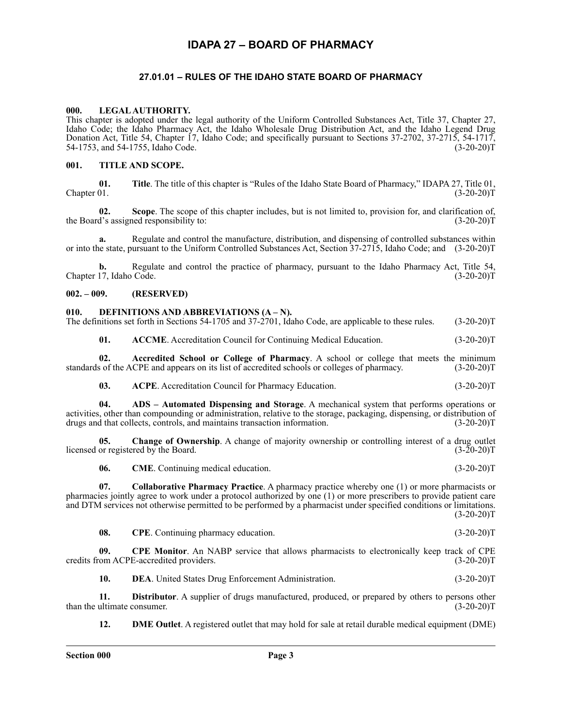# **IDAPA 27 – BOARD OF PHARMACY**

## **27.01.01 – RULES OF THE IDAHO STATE BOARD OF PHARMACY**

#### **000. LEGAL AUTHORITY.**

This chapter is adopted under the legal authority of the Uniform Controlled Substances Act, Title 37, Chapter 27, Idaho Code; the Idaho Pharmacy Act, the Idaho Wholesale Drug Distribution Act, and the Idaho Legend Drug Donation Act, Title 54, Chapter 17, Idaho Code; and specifically pursuant to Sections 37-2702, 37-2715, 54-1717, 54-1753, and 54-1755, Idaho Code. (3-20-20)T

## **001. TITLE AND SCOPE.**

**01.** Title. The title of this chapter is "Rules of the Idaho State Board of Pharmacy," IDAPA 27, Title 01,<br>(3-20-20)T  $Chapter 01.$  (3-20-20)T

**02.** Scope. The scope of this chapter includes, but is not limited to, provision for, and clarification of, a's assigned responsibility to:  $(3-20-20)$ the Board's assigned responsibility to:

**a.** Regulate and control the manufacture, distribution, and dispensing of controlled substances within or into the state, pursuant to the Uniform Controlled Substances Act, Section 37-2715, Idaho Code; and (3-20-20)T

**b.** Regulate and control the practice of pharmacy, pursuant to the Idaho Pharmacy Act, Title 54, Chapter 17, Idaho Code. (3-20-20)T

### **002. – 009. (RESERVED)**

### **010. DEFINITIONS AND ABBREVIATIONS (A – N).**

The definitions set forth in Sections 54-1705 and 37-2701, Idaho Code, are applicable to these rules. (3-20-20)T

**01.** ACCME. Accreditation Council for Continuing Medical Education. (3-20-20)T

**02. Accredited School or College of Pharmacy**. A school or college that meets the minimum standards of the ACPE and appears on its list of accredited schools or colleges of pharmacy. (3-20-20)T

**03.** ACPE. Accreditation Council for Pharmacy Education. (3-20-20)T

**04. ADS – Automated Dispensing and Storage**. A mechanical system that performs operations or activities, other than compounding or administration, relative to the storage, packaging, dispensing, or distribution of drugs and that collects, controls, and maintains transaction information. (3-20-20)T drugs and that collects, controls, and maintains transaction information.

**05. Change of Ownership**. A change of majority ownership or controlling interest of a drug outlet licensed or registered by the Board. (3-20-20)T

**06.** CME. Continuing medical education. (3-20-20)T

**07. Collaborative Pharmacy Practice**. A pharmacy practice whereby one (1) or more pharmacists or pharmacies jointly agree to work under a protocol authorized by one (1) or more prescribers to provide patient care and DTM services not otherwise permitted to be performed by a pharmacist under specified conditions or limitations.  $(3-20-20)T$ 

**08.** CPE. Continuing pharmacy education. (3-20-20)T

**09.** CPE Monitor. An NABP service that allows pharmacists to electronically keep track of CPE om ACPE-accredited providers. (3-20-20)T credits from ACPE-accredited providers.

**10. DEA**. United States Drug Enforcement Administration. (3-20-20)T

**11. Distributor**. A supplier of drugs manufactured, produced, or prepared by others to persons other ultimate consumer. (3-20-20)T than the ultimate consumer.

**12. DME Outlet**. A registered outlet that may hold for sale at retail durable medical equipment (DME)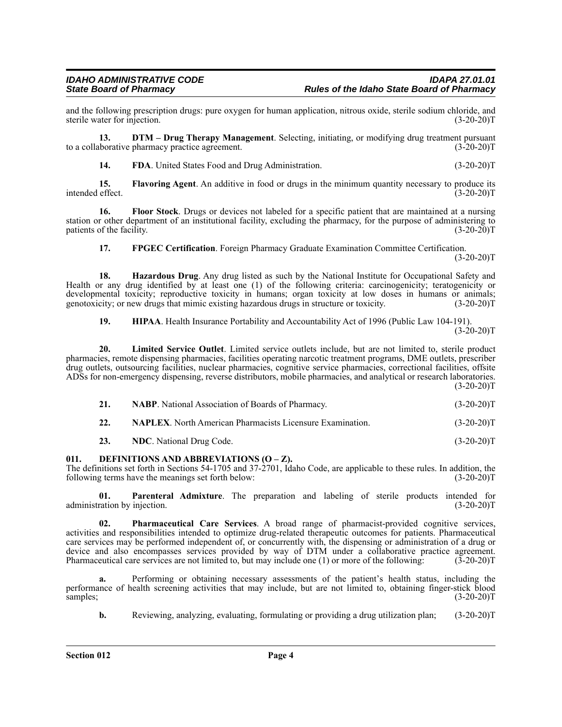and the following prescription drugs: pure oxygen for human application, nitrous oxide, sterile sodium chloride, and<br>(3-20-20)T (3-20-20)T sterile water for injection.

**13. DTM – Drug Therapy Management**. Selecting, initiating, or modifying drug treatment pursuant boorative pharmacy practice agreement. (3-20-20) to a collaborative pharmacy practice agreement.

**14.** FDA. United States Food and Drug Administration. (3-20-20)T

**15. Flavoring Agent**. An additive in food or drugs in the minimum quantity necessary to produce its intended effect. (3-20-20)T

**16. Floor Stock**. Drugs or devices not labeled for a specific patient that are maintained at a nursing station or other department of an institutional facility, excluding the pharmacy, for the purpose of administering to patients of the facility. (3-20-20)T

**17. FPGEC Certification**. Foreign Pharmacy Graduate Examination Committee Certification. (3-20-20)T

**18. Hazardous Drug**. Any drug listed as such by the National Institute for Occupational Safety and Health or any drug identified by at least one (1) of the following criteria: carcinogenicity; teratogenicity or developmental toxicity; reproductive toxicity in humans; organ toxicity at low doses in humans or animals; genotoxicity; or new drugs that mimic existing hazardous drugs in structure or toxicity. (3-20-20) genotoxicity; or new drugs that mimic existing hazardous drugs in structure or toxicity.

**19. HIPAA**. Health Insurance Portability and Accountability Act of 1996 (Public Law 104-191).  $(3-20-20)T$ 

**20. Limited Service Outlet**. Limited service outlets include, but are not limited to, sterile product pharmacies, remote dispensing pharmacies, facilities operating narcotic treatment programs, DME outlets, prescriber drug outlets, outsourcing facilities, nuclear pharmacies, cognitive service pharmacies, correctional facilities, offsite ADSs for non-emergency dispensing, reverse distributors, mobile pharmacies, and analytical or research laboratories.  $(3-20-20)T$ 

| 21. | <b>NABP.</b> National Association of Boards of Pharmacy.         | $(3-20-20)T$ |
|-----|------------------------------------------------------------------|--------------|
| 22. | <b>NAPLEX.</b> North American Pharmacists Licensure Examination. | $(3-20-20)T$ |

23. NDC. National Drug Code. (3-20-20)T

## **011. DEFINITIONS AND ABBREVIATIONS (O – Z).**

The definitions set forth in Sections 54-1705 and 37-2701, Idaho Code, are applicable to these rules. In addition, the following terms have the meanings set forth below: (3-20-20)T

**01. Parenteral Admixture**. The preparation and labeling of sterile products intended for ration by injection. (3-20-20) administration by injection.

**02. Pharmaceutical Care Services**. A broad range of pharmacist-provided cognitive services, activities and responsibilities intended to optimize drug-related therapeutic outcomes for patients. Pharmaceutical care services may be performed independent of, or concurrently with, the dispensing or administration of a drug or device and also encompasses services provided by way of DTM under a collaborative practice agreement.<br>Pharmaceutical care services are not limited to, but may include one (1) or more of the following: (3-20-20)T Pharmaceutical care services are not limited to, but may include one  $(1)$  or more of the following:

Performing or obtaining necessary assessments of the patient's health status, including the performance of health screening activities that may include, but are not limited to, obtaining finger-stick blood samples; (3-20-20)T

**b.** Reviewing, analyzing, evaluating, formulating or providing a drug utilization plan; (3-20-20)T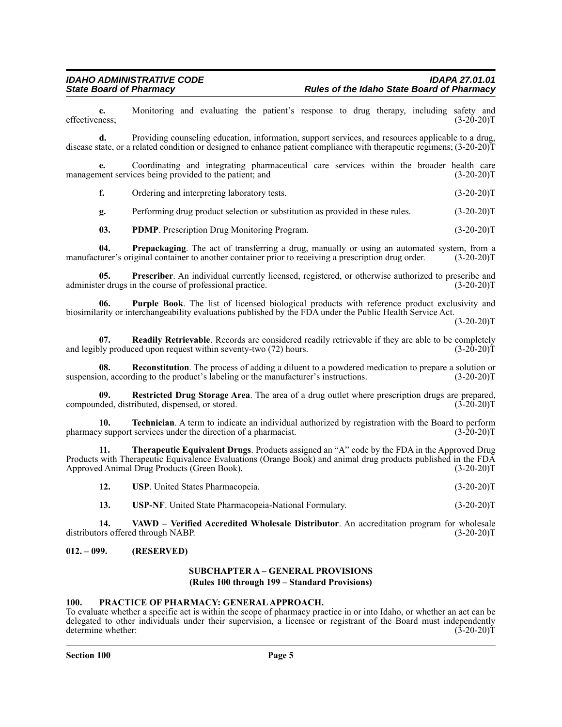**c.** Monitoring and evaluating the patient's response to drug therapy, including safety and ness; (3-20-20)T effectiveness;

**d.** Providing counseling education, information, support services, and resources applicable to a drug, disease state, or a related condition or designed to enhance patient compliance with therapeutic regimens; (3-20-20)T

**e.** Coordinating and integrating pharmaceutical care services within the broader health care nent services being provided to the patient; and (3-20-20)<sup>T</sup> management services being provided to the patient; and

**f.** Ordering and interpreting laboratory tests. (3-20-20)T

**g.** Performing drug product selection or substitution as provided in these rules. (3-20-20)T

**03. PDMP**. Prescription Drug Monitoring Program. (3-20-20)T

**04. Prepackaging**. The act of transferring a drug, manually or using an automated system, from a turer's original container to another container prior to receiving a prescription drug order. (3-20-20)T manufacturer's original container to another container prior to receiving a prescription drug order.

**05. Prescriber**. An individual currently licensed, registered, or otherwise authorized to prescribe and er drugs in the course of professional practice. administer drugs in the course of professional practice.

**06. Purple Book**. The list of licensed biological products with reference product exclusivity and biosimilarity or interchangeability evaluations published by the FDA under the Public Health Service Act.

 $(3-20-20)T$ 

**07.** Readily Retrievable. Records are considered readily retrievable if they are able to be completely produced upon request within seventy-two (72) hours. (3-20-20) and legibly produced upon request within seventy-two  $(72)$  hours.

**08. Reconstitution**. The process of adding a diluent to a powdered medication to prepare a solution or suspension, according to the product's labeling or the manufacturer's instructions. (3-20-20)T

**09. Restricted Drug Storage Area**. The area of a drug outlet where prescription drugs are prepared, compounded, distributed, dispensed, or stored. (3-20-20)T

**10. Technician**. A term to indicate an individual authorized by registration with the Board to perform pharmacy support services under the direction of a pharmacist. (3-20-20)T

**11. Therapeutic Equivalent Drugs**. Products assigned an "A" code by the FDA in the Approved Drug Products with Therapeutic Equivalence Evaluations (Orange Book) and animal drug products published in the FDA<br>Approved Animal Drug Products (Green Book). (3-20-20) Approved Animal Drug Products (Green Book).

**12. USP**. United States Pharmacopeia. (3-20-20)T

**13. USP-NF**. United State Pharmacopeia-National Formulary. (3-20-20)T

**14. VAWD – Verified Accredited Wholesale Distributor**. An accreditation program for wholesale distributors offered through NABP. (3-20-20)T

#### **012. – 099. (RESERVED)**

#### **SUBCHAPTER A – GENERAL PROVISIONS (Rules 100 through 199 – Standard Provisions)**

#### **100. PRACTICE OF PHARMACY: GENERAL APPROACH.**

To evaluate whether a specific act is within the scope of pharmacy practice in or into Idaho, or whether an act can be delegated to other individuals under their supervision, a licensee or registrant of the Board must independently determine whether: (3-20-20)T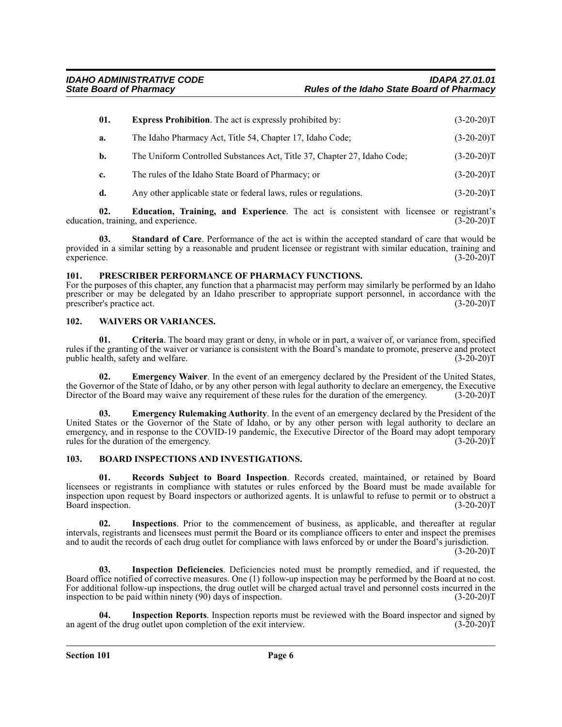| 01. | <b>Express Prohibition.</b> The act is expressly prohibited by:                                                                      | $(3-20-20)T$ |
|-----|--------------------------------------------------------------------------------------------------------------------------------------|--------------|
| а.  | The Idaho Pharmacy Act, Title 54, Chapter 17, Idaho Code;                                                                            | $(3-20-20)T$ |
| b.  | The Uniform Controlled Substances Act, Title 37, Chapter 27, Idaho Code;                                                             | $(3-20-20)T$ |
| c.  | The rules of the Idaho State Board of Pharmacy; or                                                                                   | $(3-20-20)T$ |
|     | $\mathbf{1}$ , $\mathbf{1}$ , $\mathbf{1}$ , $\mathbf{1}$ , $\mathbf{1}$ , $\mathbf{1}$ , $\mathbf{1}$ , $\mathbf{1}$ , $\mathbf{1}$ | (0.00000)    |

**d.** Any other applicable state or federal laws, rules or regulations. (3-20-20)T

**02. Education, Training, and Experience**. The act is consistent with licensee or registrant's education, training, and experience.

**03. Standard of Care**. Performance of the act is within the accepted standard of care that would be provided in a similar setting by a reasonable and prudent licensee or registrant with similar education, training and experience. (3-20-20) experience. (3-20-20)T

### **101. PRESCRIBER PERFORMANCE OF PHARMACY FUNCTIONS.**

For the purposes of this chapter, any function that a pharmacist may perform may similarly be performed by an Idaho prescriber or may be delegated by an Idaho prescriber to appropriate support personnel, in accordance with the prescriber's practice act. (3-20-20) prescriber's practice act.

### **102. WAIVERS OR VARIANCES.**

**01. Criteria**. The board may grant or deny, in whole or in part, a waiver of, or variance from, specified rules if the granting of the waiver or variance is consistent with the Board's mandate to promote, preserve and protect public health, safety and welfare. (3-20-20) public health, safety and welfare.

**02. Emergency Waiver**. In the event of an emergency declared by the President of the United States, the Governor of the State of Idaho, or by any other person with legal authority to declare an emergency, the Executive Director of the Board may waive any requirement of these rules for the duration of the emergency. (3-20-20)T

**03. Emergency Rulemaking Authority**. In the event of an emergency declared by the President of the United States or the Governor of the State of Idaho, or by any other person with legal authority to declare an emergency, and in response to the COVID-19 pandemic, the Executive Director of the Board may adopt temporary rules for the duration of the emergency. rules for the duration of the emergency.

## **103. BOARD INSPECTIONS AND INVESTIGATIONS.**

**01. Records Subject to Board Inspection**. Records created, maintained, or retained by Board licensees or registrants in compliance with statutes or rules enforced by the Board must be made available for inspection upon request by Board inspectors or authorized agents. It is unlawful to refuse to permit or to obstruct a Board inspection.

**02. Inspections**. Prior to the commencement of business, as applicable, and thereafter at regular intervals, registrants and licensees must permit the Board or its compliance officers to enter and inspect the premises and to audit the records of each drug outlet for compliance with laws enforced by or under the Board's jurisdiction.  $(3-20-20)T$ 

**03. Inspection Deficiencies**. Deficiencies noted must be promptly remedied, and if requested, the Board office notified of corrective measures. One (1) follow-up inspection may be performed by the Board at no cost. For additional follow-up inspections, the drug outlet will be charged actual travel and personnel costs incurred in the inspection to be paid within ninety (90) days of inspection. (3-20-20)T

**04. Inspection Reports**. Inspection reports must be reviewed with the Board inspector and signed by an agent of the drug outlet upon completion of the exit interview. (3-20-20)T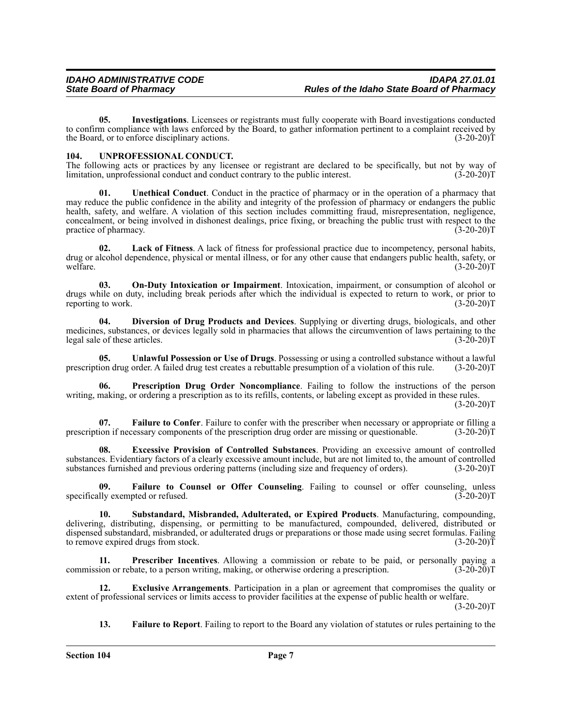**05. Investigations**. Licensees or registrants must fully cooperate with Board investigations conducted to confirm compliance with laws enforced by the Board, to gather information pertinent to a complaint received by the Board, or to enforce disciplinary actions. (3-20-20) the Board, or to enforce disciplinary actions.

## **104. UNPROFESSIONAL CONDUCT.**

The following acts or practices by any licensee or registrant are declared to be specifically, but not by way of limitation, unprofessional conduct and conduct contrary to the public interest. (3-20-20) limitation, unprofessional conduct and conduct contrary to the public interest.

**01. Unethical Conduct**. Conduct in the practice of pharmacy or in the operation of a pharmacy that may reduce the public confidence in the ability and integrity of the profession of pharmacy or endangers the public health, safety, and welfare. A violation of this section includes committing fraud, misrepresentation, negligence, concealment, or being involved in dishonest dealings, price fixing, or breaching the public trust with respect to the practice of pharmacy. (3-20-20)T

**02. Lack of Fitness**. A lack of fitness for professional practice due to incompetency, personal habits, drug or alcohol dependence, physical or mental illness, or for any other cause that endangers public health, safety, or welfare. (3-20-20) welfare.  $(3-20-20)T$ 

**03. On-Duty Intoxication or Impairment**. Intoxication, impairment, or consumption of alcohol or drugs while on duty, including break periods after which the individual is expected to return to work, or prior to reporting to work. (3-20-20) reporting to work.

**04. Diversion of Drug Products and Devices**. Supplying or diverting drugs, biologicals, and other medicines, substances, or devices legally sold in pharmacies that allows the circumvention of laws pertaining to the legal sale of these articles. (3-20-20) legal sale of these articles.

**05. Unlawful Possession or Use of Drugs**. Possessing or using a controlled substance without a lawful ion drug order. A failed drug test creates a rebuttable presumption of a violation of this rule. (3-20-20)T prescription drug order. A failed drug test creates a rebuttable presumption of a violation of this rule.

**06. Prescription Drug Order Noncompliance**. Failing to follow the instructions of the person writing, making, or ordering a prescription as to its refills, contents, or labeling except as provided in these rules.  $(3-20-20)T$ 

**07.** Failure to Confer. Failure to confer with the prescriber when necessary or appropriate or filling a prescription if necessary components of the prescription drug order are missing or questionable. (3-20-20)T

**08. Excessive Provision of Controlled Substances**. Providing an excessive amount of controlled substances. Evidentiary factors of a clearly excessive amount include, but are not limited to, the amount of controlled substances furnished and previous ordering patterns (including size and frequency of orders). (3-20-20 substances furnished and previous ordering patterns (including size and frequency of orders).

**09. Failure to Counsel or Offer Counseling**. Failing to counsel or offer counseling, unless specifically exempted or refused. (3-20-20)T

**10. Substandard, Misbranded, Adulterated, or Expired Products**. Manufacturing, compounding, delivering, distributing, dispensing, or permitting to be manufactured, compounded, delivered, distributed or dispensed substandard, misbranded, or adulterated drugs or preparations or those made using secret formulas. Failing to remove expired drugs from stock. (3-20-20)T

**11. Prescriber Incentives**. Allowing a commission or rebate to be paid, or personally paying a commission or rebate, to a person writing, making, or otherwise ordering a prescription. (3-20-20)T

**12. Exclusive Arrangements**. Participation in a plan or agreement that compromises the quality or extent of professional services or limits access to provider facilities at the expense of public health or welfare.

 $(3-20-20)T$ 

**13. Failure to Report**. Failing to report to the Board any violation of statutes or rules pertaining to the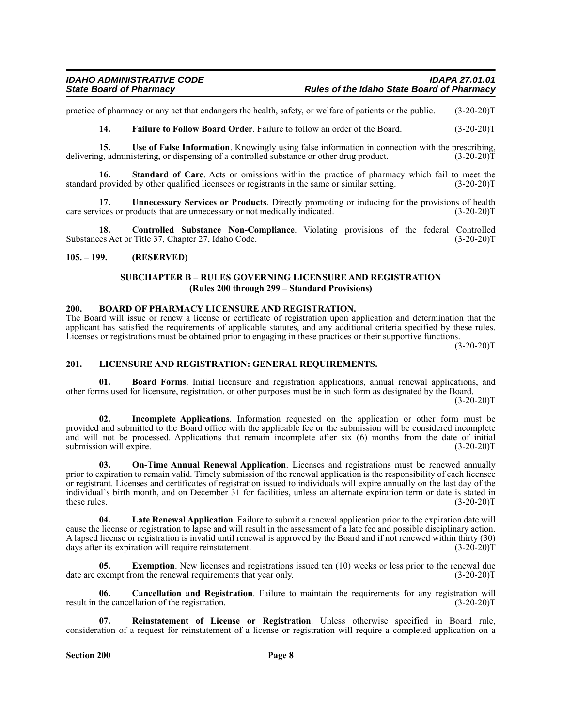practice of pharmacy or any act that endangers the health, safety, or welfare of patients or the public. (3-20-20)T

**14. Failure to Follow Board Order**. Failure to follow an order of the Board. (3-20-20)T

**15. Use of False Information**. Knowingly using false information in connection with the prescribing, delivering, administering, or dispensing of a controlled substance or other drug product. (3-20-20)T

**16. Standard of Care**. Acts or omissions within the practice of pharmacy which fail to meet the standard provided by other qualified licensees or registrants in the same or similar setting. (3-20-20)T

**17. Unnecessary Services or Products**. Directly promoting or inducing for the provisions of health care services or products that are unnecessary or not medically indicated. (3-20-20)T

**18. Controlled Substance Non-Compliance**. Violating provisions of the federal Controlled Substances Act or Title 37, Chapter 27, Idaho Code. (3-20-20)T

## **105. – 199. (RESERVED)**

## **SUBCHAPTER B – RULES GOVERNING LICENSURE AND REGISTRATION (Rules 200 through 299 – Standard Provisions)**

### **200. BOARD OF PHARMACY LICENSURE AND REGISTRATION.**

The Board will issue or renew a license or certificate of registration upon application and determination that the applicant has satisfied the requirements of applicable statutes, and any additional criteria specified by these rules. Licenses or registrations must be obtained prior to engaging in these practices or their supportive functions.

 $(3-20-20)T$ 

## **201. LICENSURE AND REGISTRATION: GENERAL REQUIREMENTS.**

**01. Board Forms**. Initial licensure and registration applications, annual renewal applications, and other forms used for licensure, registration, or other purposes must be in such form as designated by the Board.  $(3-20-20)T$ 

**02. Incomplete Applications**. Information requested on the application or other form must be provided and submitted to the Board office with the applicable fee or the submission will be considered incomplete and will not be processed. Applications that remain incomplete after six (6) months from the date of initial submission will expire. (3-20-20) submission will expire.

**On-Time Annual Renewal Application**. Licenses and registrations must be renewed annually prior to expiration to remain valid. Timely submission of the renewal application is the responsibility of each licensee or registrant. Licenses and certificates of registration issued to individuals will expire annually on the last day of the individual's birth month, and on December 31 for facilities, unless an alternate expiration term or date is stated in these rules.  $(3-20-20)T$ 

**04. Late Renewal Application**. Failure to submit a renewal application prior to the expiration date will cause the license or registration to lapse and will result in the assessment of a late fee and possible disciplinary action. A lapsed license or registration is invalid until renewal is approved by the Board and if not renewed within thirty (30) days after its expiration will require reinstatement. (3-20-20)T

**05.** Exemption. New licenses and registrations issued ten (10) weeks or less prior to the renewal due date are exempt from the renewal requirements that year only. (3-20-20)T

**06. Cancellation and Registration**. Failure to maintain the requirements for any registration will result in the cancellation of the registration. (3-20-20)T

**07. Reinstatement of License or Registration**. Unless otherwise specified in Board rule, consideration of a request for reinstatement of a license or registration will require a completed application on a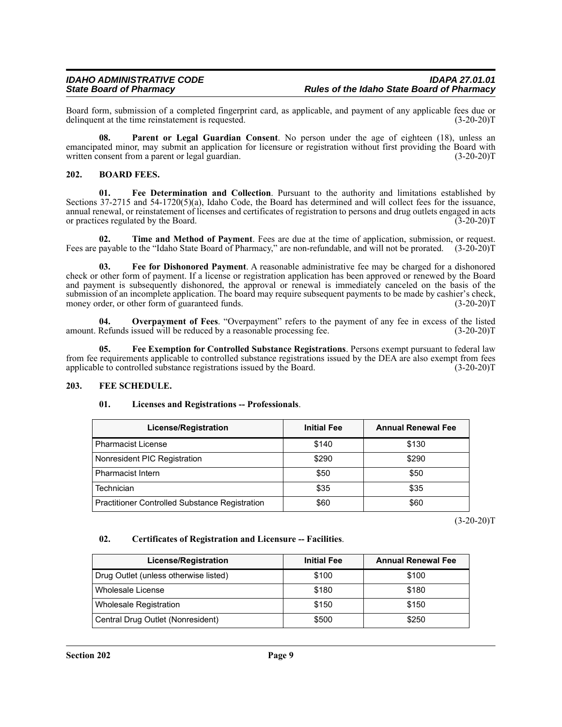Board form, submission of a completed fingerprint card, as applicable, and payment of any applicable fees due or delinquent at the time reinstatement is requested. (3-20-20) delinquent at the time reinstatement is requested.

**08. Parent or Legal Guardian Consent**. No person under the age of eighteen (18), unless an emancipated minor, may submit an application for licensure or registration without first providing the Board with written consent from a parent or legal guardian. (3-20-20)T

## **202. BOARD FEES.**

**01. Fee Determination and Collection**. Pursuant to the authority and limitations established by Sections 37-2715 and 54-1720(5)(a), Idaho Code, the Board has determined and will collect fees for the issuance, annual renewal, or reinstatement of licenses and certificates of registration to persons and drug outlets engaged in acts or practices regulated by the Board. (3-20-20) or practices regulated by the Board.

**02. Time and Method of Payment**. Fees are due at the time of application, submission, or request. Fees are payable to the "Idaho State Board of Pharmacy," are non-refundable, and will not be prorated. (3-20-20)T

**03. Fee for Dishonored Payment**. A reasonable administrative fee may be charged for a dishonored check or other form of payment. If a license or registration application has been approved or renewed by the Board and payment is subsequently dishonored, the approval or renewal is immediately canceled on the basis of the submission of an incomplete application. The board may require subsequent payments to be made by cashier's check, money order, or other form of guaranteed funds. (3-20-20) money order, or other form of guaranteed funds.

**04. Overpayment of Fees**. "Overpayment" refers to the payment of any fee in excess of the listed amount. Refunds issued will be reduced by a reasonable processing fee. (3-20-20)T

**05. Fee Exemption for Controlled Substance Registrations**. Persons exempt pursuant to federal law from fee requirements applicable to controlled substance registrations issued by the DEA are also exempt from fees applicable to controlled substance registrations issued by the Board. (3-20-20)T

## **203. FEE SCHEDULE.**

## **01. Licenses and Registrations -- Professionals**.

| <b>License/Registration</b>                    | <b>Initial Fee</b> | <b>Annual Renewal Fee</b> |
|------------------------------------------------|--------------------|---------------------------|
| l Pharmacist License                           | \$140              | \$130                     |
| Nonresident PIC Registration                   | \$290              | \$290                     |
| l Pharmacist Intern                            | \$50               | \$50                      |
| Technician                                     | \$35               | \$35                      |
| Practitioner Controlled Substance Registration | \$60               | \$60                      |

 $(3-20-20)T$ 

## **02. Certificates of Registration and Licensure -- Facilities**.

| <b>License/Registration</b>           | <b>Initial Fee</b> | <b>Annual Renewal Fee</b> |
|---------------------------------------|--------------------|---------------------------|
| Drug Outlet (unless otherwise listed) | \$100              | \$100                     |
| Wholesale License                     | \$180              | \$180                     |
| <b>Wholesale Registration</b>         | \$150              | \$150                     |
| Central Drug Outlet (Nonresident)     | \$500              | \$250                     |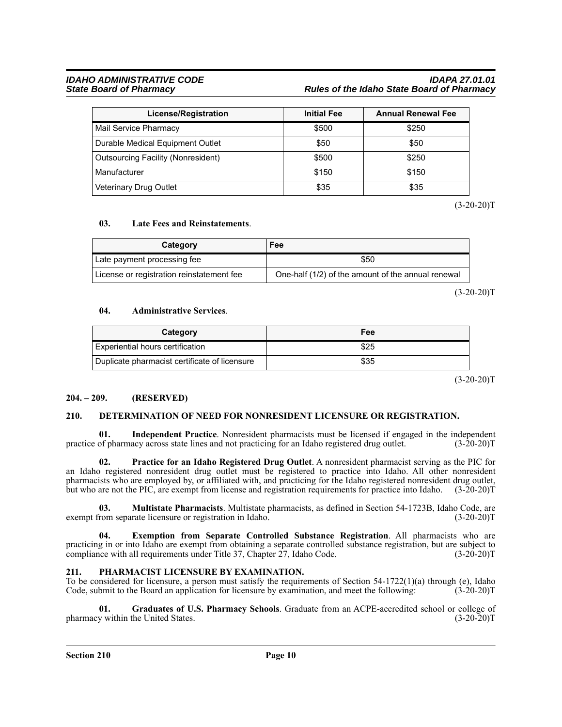## *IDAHO ADMINISTRATIVE CODE IDAPA 27.01.01 State Board of Pharmacy Rules of the Idaho State Board of Pharmacy*

| License/Registration                      | <b>Initial Fee</b> | <b>Annual Renewal Fee</b> |
|-------------------------------------------|--------------------|---------------------------|
| Mail Service Pharmacy                     | \$500              | \$250                     |
| Durable Medical Equipment Outlet          | \$50               | \$50                      |
| <b>Outsourcing Facility (Nonresident)</b> | \$500              | \$250                     |
| Manufacturer                              | \$150              | \$150                     |
| Veterinary Drug Outlet                    | \$35               | \$35                      |

 $(3-20-20)T$ 

## **03. Late Fees and Reinstatements**.

| Category                                  | Fee                                                |
|-------------------------------------------|----------------------------------------------------|
| Late payment processing fee               | \$50                                               |
| License or registration reinstatement fee | One-half (1/2) of the amount of the annual renewal |

 $(3-20-20)T$ 

## **04. Administrative Services**.

| Category                                      | Fee  |
|-----------------------------------------------|------|
| Experiential hours certification              | \$25 |
| Duplicate pharmacist certificate of licensure | \$35 |

 $(3-20-20)T$ 

## **204. – 209. (RESERVED)**

## **210. DETERMINATION OF NEED FOR NONRESIDENT LICENSURE OR REGISTRATION.**

**01.** Independent Practice. Nonresident pharmacists must be licensed if engaged in the independent of pharmacy across state lines and not practicing for an Idaho registered drug outlet. (3-20-20)T practice of pharmacy across state lines and not practicing for an Idaho registered drug outlet.

**02. Practice for an Idaho Registered Drug Outlet**. A nonresident pharmacist serving as the PIC for an Idaho registered nonresident drug outlet must be registered to practice into Idaho. All other nonresident pharmacists who are employed by, or affiliated with, and practicing for the Idaho registered nonresident drug outlet, but who are not the PIC, are exempt from license and registration requirements for practice into Idaho. (3-20-20)T

**03. Multistate Pharmacists**. Multistate pharmacists, as defined in Section 54-1723B, Idaho Code, are exempt from separate licensure or registration in Idaho.

**04. Exemption from Separate Controlled Substance Registration**. All pharmacists who are practicing in or into Idaho are exempt from obtaining a separate controlled substance registration, but are subject to compliance with all requirements under Title 37, Chapter 27, Idaho Code. (3-20-20)T compliance with all requirements under Title 37, Chapter  $27$ , Idaho Code.

## **211. PHARMACIST LICENSURE BY EXAMINATION.**

To be considered for licensure, a person must satisfy the requirements of Section 54-1722(1)(a) through (e), Idaho Code, submit to the Board an application for licensure by examination, and meet the following: (3-20-20)T

**01. Graduates of U.S. Pharmacy Schools**. Graduate from an ACPE-accredited school or college of pharmacy within the United States.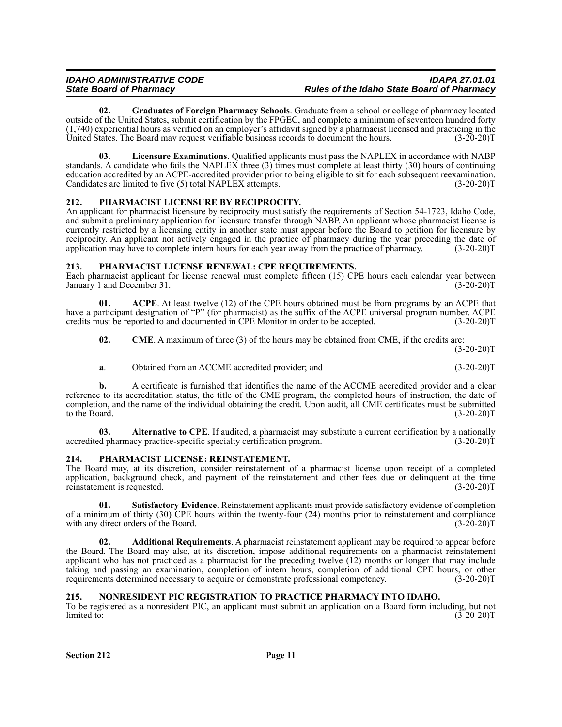**02. Graduates of Foreign Pharmacy Schools**. Graduate from a school or college of pharmacy located outside of the United States, submit certification by the FPGEC, and complete a minimum of seventeen hundred forty  $(1,740)$  experiential hours as verified on an employer's affidavit signed by a pharmacist licensed and practicing in the United States. The Board may request verifiable business records to document the hours.  $(3-20-20)$ United States. The Board may request verifiable business records to document the hours.

**03. Licensure Examinations**. Qualified applicants must pass the NAPLEX in accordance with NABP standards. A candidate who fails the NAPLEX three  $(3)$  times must complete at least thirty  $(30)$  hours of continuing education accredited by an ACPE-accredited provider prior to being eligible to sit for each subsequent reexamination. Candidates are limited to five (5) total NAPLEX attempts. (3-20-20)T

## **212. PHARMACIST LICENSURE BY RECIPROCITY.**

An applicant for pharmacist licensure by reciprocity must satisfy the requirements of Section 54-1723, Idaho Code, and submit a preliminary application for licensure transfer through NABP. An applicant whose pharmacist license is currently restricted by a licensing entity in another state must appear before the Board to petition for licensure by reciprocity. An applicant not actively engaged in the practice of pharmacy during the year preceding the date of application may have to complete intern hours for each year away from the practice of pharmacy. (3-20-20)T application may have to complete intern hours for each year away from the practice of pharmacy.

## **213. PHARMACIST LICENSE RENEWAL: CPE REQUIREMENTS.**

Each pharmacist applicant for license renewal must complete fifteen (15) CPE hours each calendar year between January 1 and December 31. (3-20-20) January 1 and December 31.

**01. ACPE**. At least twelve (12) of the CPE hours obtained must be from programs by an ACPE that have a participant designation of "P" (for pharmacist) as the suffix of the ACPE universal program number. ACPE credits must be reported to and documented in CPE Monitor in order to be accepted. (3-20-20)T

**02. CME**. A maximum of three (3) of the hours may be obtained from CME, if the credits are:

 $(3-20-20)T$ 

**a**. Obtained from an ACCME accredited provider; and  $(3-20-20)T$ 

**b.** A certificate is furnished that identifies the name of the ACCME accredited provider and a clear reference to its accreditation status, the title of the CME program, the completed hours of instruction, the date of completion, and the name of the individual obtaining the credit. Upon audit, all CME certificates must be submitted to the Board. (3-20-20)T

**03. Alternative to CPE**. If audited, a pharmacist may substitute a current certification by a nationally d pharmacy practice-specific specialty certification program. (3-20-20) accredited pharmacy practice-specific specialty certification program.

## **214. PHARMACIST LICENSE: REINSTATEMENT.**

The Board may, at its discretion, consider reinstatement of a pharmacist license upon receipt of a completed application, background check, and payment of the reinstatement and other fees due or delinquent at the time reinstatement is requested. (3-20-20)T

**01. Satisfactory Evidence**. Reinstatement applicants must provide satisfactory evidence of completion of a minimum of thirty (30) CPE hours within the twenty-four (24) months prior to reinstatement and compliance with any direct orders of the Board.  $(3-20-20)$ with any direct orders of the Board.

**02. Additional Requirements**. A pharmacist reinstatement applicant may be required to appear before the Board. The Board may also, at its discretion, impose additional requirements on a pharmacist reinstatement applicant who has not practiced as a pharmacist for the preceding twelve (12) months or longer that may include taking and passing an examination, completion of intern hours, completion of additional CPE hours, or other requirements determined necessary to acquire or demonstrate professional competency. (3-20-20)T

## **215. NONRESIDENT PIC REGISTRATION TO PRACTICE PHARMACY INTO IDAHO.**

To be registered as a nonresident PIC, an applicant must submit an application on a Board form including, but not  $\text{limited to:} \tag{3-20-20}$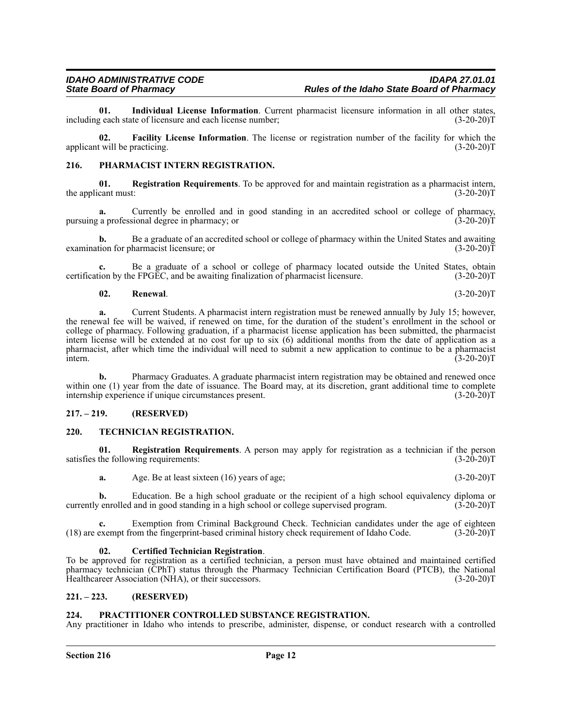**01.** Individual License Information. Current pharmacist licensure information in all other states, geach state of licensure and each license number; (3-20-20) including each state of licensure and each license number;

**02. Facility License Information**. The license or registration number of the facility for which the applicant will be practicing. (3-20-20)T

### **216. PHARMACIST INTERN REGISTRATION.**

**01. Registration Requirements**. To be approved for and maintain registration as a pharmacist intern, the applicant must:  $(3-20-20)T$ 

**a.** Currently be enrolled and in good standing in an accredited school or college of pharmacy, a professional degree in pharmacy; or  $(3-20-20)$ pursuing a professional degree in pharmacy; or

**b.** Be a graduate of an accredited school or college of pharmacy within the United States and awaiting tion for pharmacist licensure; or (3-20-20) examination for pharmacist licensure; or

**c.** Be a graduate of a school or college of pharmacy located outside the United States, obtain certification by the FPGEC, and be awaiting finalization of pharmacist licensure. (3-20-20)T

#### **02. Renewal**. (3-20-20)T

**a.** Current Students. A pharmacist intern registration must be renewed annually by July 15; however, the renewal fee will be waived, if renewed on time, for the duration of the student's enrollment in the school or college of pharmacy. Following graduation, if a pharmacist license application has been submitted, the pharmacist intern license will be extended at no cost for up to six (6) additional months from the date of application as a pharmacist, after which time the individual will need to submit a new application to continue to be a pharmacist intern.  $\frac{1}{2}$  intern. (3-20-20)T

**b.** Pharmacy Graduates. A graduate pharmacist intern registration may be obtained and renewed once within one (1) year from the date of issuance. The Board may, at its discretion, grant additional time to complete internship experience if unique circumstances present. (3-20-20) internship experience if unique circumstances present.

#### **217. – 219. (RESERVED)**

#### **220. TECHNICIAN REGISTRATION.**

**01. Registration Requirements**. A person may apply for registration as a technician if the person satisfies the following requirements: (3-20-20)T

**a.** Age. Be at least sixteen (16) years of age; (3-20-20)T

**b.** Education. Be a high school graduate or the recipient of a high school equivalency diploma or enrolled and in good standing in a high school or college supervised program. (3-20-20) currently enrolled and in good standing in a high school or college supervised program.

**c.** Exemption from Criminal Background Check. Technician candidates under the age of eighteen  $(18)$  are exempt from the fingerprint-based criminal history check requirement of Idaho Code.  $(3-20-20)$ T

#### **02. Certified Technician Registration**.

To be approved for registration as a certified technician, a person must have obtained and maintained certified pharmacy technician (CPhT) status through the Pharmacy Technician Certification Board (PTCB), the National Healthcareer Association (NHA), or their successors. (3-20-20)T

#### **221. – 223. (RESERVED)**

#### **224. PRACTITIONER CONTROLLED SUBSTANCE REGISTRATION.**

Any practitioner in Idaho who intends to prescribe, administer, dispense, or conduct research with a controlled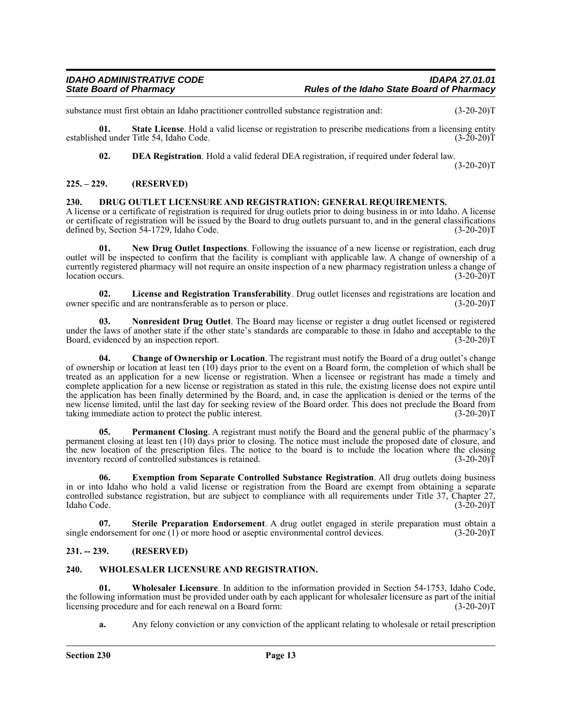substance must first obtain an Idaho practitioner controlled substance registration and: (3-20-20)T

**01.** State License. Hold a valid license or registration to prescribe medications from a licensing entity ed under Title 54. Idaho Code. (3-20-20) established under Title 54, Idaho Code.

**02. DEA Registration**. Hold a valid federal DEA registration, if required under federal law.

 $(3-20-20)T$ 

## **225. – 229. (RESERVED)**

#### **230. DRUG OUTLET LICENSURE AND REGISTRATION: GENERAL REQUIREMENTS.**

A license or a certificate of registration is required for drug outlets prior to doing business in or into Idaho. A license or certificate of registration will be issued by the Board to drug outlets pursuant to, and in the general classifications defined by, Section 54-1729, Idaho Code. (3-20-20)T

**01. New Drug Outlet Inspections**. Following the issuance of a new license or registration, each drug outlet will be inspected to confirm that the facility is compliant with applicable law. A change of ownership of a currently registered pharmacy will not require an onsite inspection of a new pharmacy registration unless a change of location occurs. (3-20-20)T

**02. License and Registration Transferability**. Drug outlet licenses and registrations are location and owner specific and are nontransferable as to person or place.

**03. Nonresident Drug Outlet**. The Board may license or register a drug outlet licensed or registered under the laws of another state if the other state's standards are comparable to those in Idaho and acceptable to the Board, evidenced by an inspection report. Board, evidenced by an inspection report.

**04. Change of Ownership or Location**. The registrant must notify the Board of a drug outlet's change of ownership or location at least ten (10) days prior to the event on a Board form, the completion of which shall be treated as an application for a new license or registration. When a licensee or registrant has made a timely and complete application for a new license or registration as stated in this rule, the existing license does not expire until the application has been finally determined by the Board, and, in case the application is denied or the terms of the new license limited, until the last day for seeking review of the Board order. This does not preclude the Board from taking immediate action to protect the public interest. (3-20-20)T

**05. Permanent Closing**. A registrant must notify the Board and the general public of the pharmacy's permanent closing at least ten (10) days prior to closing. The notice must include the proposed date of closure, and the new location of the prescription files. The notice to the board is to include the location where the closing inventory record of controlled substances is retained. (3-20-20)T

**06. Exemption from Separate Controlled Substance Registration**. All drug outlets doing business in or into Idaho who hold a valid license or registration from the Board are exempt from obtaining a separate controlled substance registration, but are subject to compliance with all requirements under Title 37, Chapter 27, Idaho Code. (3-20-20)T Idaho Code. (3-20-20)T

**07. Sterile Preparation Endorsement**. A drug outlet engaged in sterile preparation must obtain a single endorsement for one (1) or more hood or aseptic environmental control devices. (3-20-20)T

## **231. -- 239. (RESERVED)**

## **240. WHOLESALER LICENSURE AND REGISTRATION.**

**01. Wholesaler Licensure**. In addition to the information provided in Section 54-1753, Idaho Code, the following information must be provided under oath by each applicant for wholesaler licensure as part of the initial licensing procedure and for each renewal on a Board form: (3-20-20) licensing procedure and for each renewal on a Board form:

**a.** Any felony conviction or any conviction of the applicant relating to wholesale or retail prescription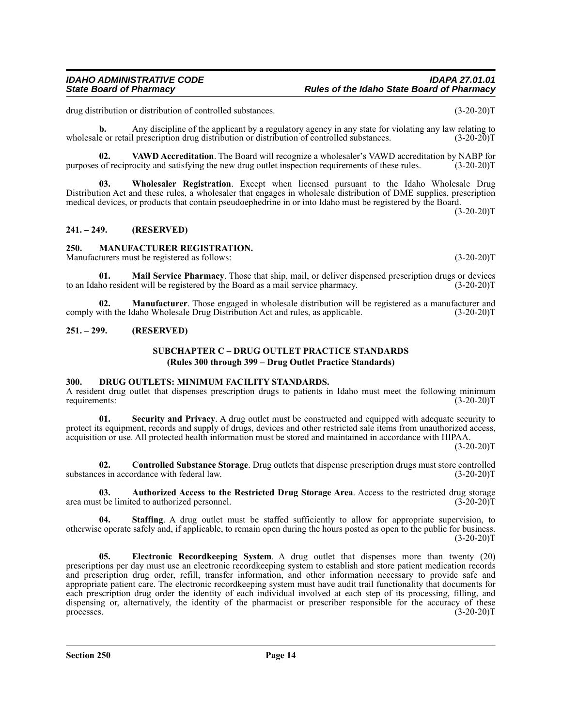*IDAHO ADMINISTRATIVE CODE IDAPA 27.01.01 State Board of Pharmacy Rules of the Idaho State Board of Pharmacy*

drug distribution or distribution of controlled substances. (3-20-20)T

**b.** Any discipline of the applicant by a regulatory agency in any state for violating any law relating to e or retail prescription drug distribution or distribution of controlled substances. (3-20-20) wholesale or retail prescription drug distribution or distribution of controlled substances.

**02.** VAWD Accreditation. The Board will recognize a wholesaler's VAWD accreditation by NABP for of reciprocity and satisfying the new drug outlet inspection requirements of these rules. (3-20-20)T purposes of reciprocity and satisfying the new drug outlet inspection requirements of these rules.

**03. Wholesaler Registration**. Except when licensed pursuant to the Idaho Wholesale Drug Distribution Act and these rules, a wholesaler that engages in wholesale distribution of DME supplies, prescription medical devices, or products that contain pseudoephedrine in or into Idaho must be registered by the Board.

 $(3-20-20)T$ 

### **241. – 249. (RESERVED)**

#### **250. MANUFACTURER REGISTRATION.**

Manufacturers must be registered as follows: (3-20-20)T

**01. Mail Service Pharmacy**. Those that ship, mail, or deliver dispensed prescription drugs or devices to an Idaho resident will be registered by the Board as a mail service pharmacy.  $(3-20-20)T$ 

**02. Manufacturer**. Those engaged in wholesale distribution will be registered as a manufacturer and with the Idaho Wholesale Drug Distribution Act and rules, as applicable. (3-20-20) comply with the Idaho Wholesale Drug Distribution Act and rules, as applicable.

#### **251. – 299. (RESERVED)**

#### **SUBCHAPTER C – DRUG OUTLET PRACTICE STANDARDS (Rules 300 through 399 – Drug Outlet Practice Standards)**

#### **300. DRUG OUTLETS: MINIMUM FACILITY STANDARDS.**

A resident drug outlet that dispenses prescription drugs to patients in Idaho must meet the following minimum<br>requirements: (3-20-20) requirements:

**01. Security and Privacy**. A drug outlet must be constructed and equipped with adequate security to protect its equipment, records and supply of drugs, devices and other restricted sale items from unauthorized access, acquisition or use. All protected health information must be stored and maintained in accordance with HIPAA.

 $(3-20-20)T$ 

**02.** Controlled Substance Storage. Drug outlets that dispense prescription drugs must store controlled es in accordance with federal law. (3-20-20) substances in accordance with federal law.

**03. Authorized Access to the Restricted Drug Storage Area**. Access to the restricted drug storage area must be limited to authorized personnel.

**04.** Staffing. A drug outlet must be staffed sufficiently to allow for appropriate supervision, to otherwise operate safely and, if applicable, to remain open during the hours posted as open to the public for business.  $(3-20-20)T$ 

**05. Electronic Recordkeeping System**. A drug outlet that dispenses more than twenty (20) prescriptions per day must use an electronic recordkeeping system to establish and store patient medication records and prescription drug order, refill, transfer information, and other information necessary to provide safe and appropriate patient care. The electronic recordkeeping system must have audit trail functionality that documents for each prescription drug order the identity of each individual involved at each step of its processing, filling, and dispensing or, alternatively, the identity of the pharmacist or prescriber responsible for the accuracy of these processes.  $(3-20-20)T$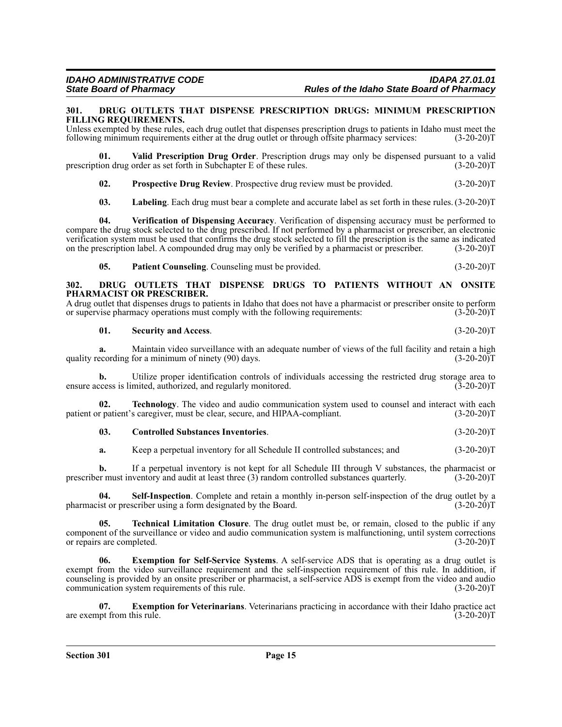#### **301. DRUG OUTLETS THAT DISPENSE PRESCRIPTION DRUGS: MINIMUM PRESCRIPTION FILLING REQUIREMENTS.**

Unless exempted by these rules, each drug outlet that dispenses prescription drugs to patients in Idaho must meet the following minimum requirements either at the drug outlet or through offsite pharmacy services: (3-20-20)T

**01. Valid Prescription Drug Order**. Prescription drugs may only be dispensed pursuant to a valid prescription drug order as set forth in Subchapter E of these rules.

**02. Prospective Drug Review**. Prospective drug review must be provided. (3-20-20)T

**03. Labeling**. Each drug must bear a complete and accurate label as set forth in these rules. (3-20-20)T

**04. Verification of Dispensing Accuracy**. Verification of dispensing accuracy must be performed to compare the drug stock selected to the drug prescribed. If not performed by a pharmacist or prescriber, an electronic verification system must be used that confirms the drug stock selected to fill the prescription is the same as indicated on the prescription label. A compounded drug may only be verified by a pharmacist or prescriber. (3-20-20)T

**05.** Patient Counseling. Counseling must be provided. (3-20-20)T

#### **302. DRUG OUTLETS THAT DISPENSE DRUGS TO PATIENTS WITHOUT AN ONSITE PHARMACIST OR PRESCRIBER.**

A drug outlet that dispenses drugs to patients in Idaho that does not have a pharmacist or prescriber onsite to perform<br>or supervise pharmacy operations must comply with the following requirements: (3-20-20) or supervise pharmacy operations must comply with the following requirements:

**01. Security and Access**. (3-20-20)T

**a.** Maintain video surveillance with an adequate number of views of the full facility and retain a high ecording for a minimum of ninety (90) days.  $(3-20-20)$ quality recording for a minimum of ninety (90) days.

**b.** Utilize proper identification controls of individuals accessing the restricted drug storage area to ccess is limited, authorized, and regularly monitored. (3-20-20) ensure access is limited, authorized, and regularly monitored.

**02. Technology**. The video and audio communication system used to counsel and interact with each patient or patient's caregiver, must be clear, secure, and HIPAA-compliant. (3-20-20)T

## **03. Controlled Substances Inventories**. (3-20-20)T

**a.** Keep a perpetual inventory for all Schedule II controlled substances; and  $(3-20-20)T$ 

**b.** If a perpetual inventory is not kept for all Schedule III through V substances, the pharmacist or prescriber must inventory and audit at least three (3) random controlled substances quarterly. (3-20-20)T

**04.** Self-Inspection. Complete and retain a monthly in-person self-inspection of the drug outlet by a ist or prescriber using a form designated by the Board. (3-20-20) pharmacist or prescriber using a form designated by the Board.

**05. Technical Limitation Closure**. The drug outlet must be, or remain, closed to the public if any component of the surveillance or video and audio communication system is malfunctioning, until system corrections or repairs are completed. (3-20-20)T

**06. Exemption for Self-Service Systems**. A self-service ADS that is operating as a drug outlet is exempt from the video surveillance requirement and the self-inspection requirement of this rule. In addition, if counseling is provided by an onsite prescriber or pharmacist, a self-service ADS is exempt from the video and audio communication system requirements of this rule. (3-20-20)T

**07. Exemption for Veterinarians**. Veterinarians practicing in accordance with their Idaho practice act pt from this rule. (3-20-20)T are exempt from this rule.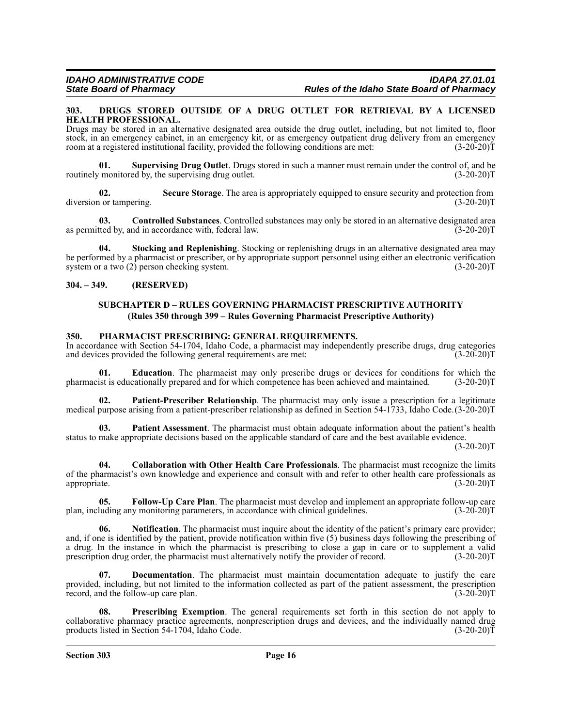#### **303. DRUGS STORED OUTSIDE OF A DRUG OUTLET FOR RETRIEVAL BY A LICENSED HEALTH PROFESSIONAL.**

Drugs may be stored in an alternative designated area outside the drug outlet, including, but not limited to, floor stock, in an emergency cabinet, in an emergency kit, or as emergency outpatient drug delivery from an emergency<br>room at a registered institutional facility, provided the following conditions are met: (3-20-20) room at a registered institutional facility, provided the following conditions are met:

**01. Supervising Drug Outlet**. Drugs stored in such a manner must remain under the control of, and be routinely monitored by, the supervising drug outlet.

**02.** Secure Storage. The area is appropriately equipped to ensure security and protection from 1 or tampering. (3-20-20) diversion or tampering.

**03. Controlled Substances**. Controlled substances may only be stored in an alternative designated area as permitted by, and in accordance with, federal law. (3-20-20)T

**Stocking and Replenishing**. Stocking or replenishing drugs in an alternative designated area may be performed by a pharmacist or prescriber, or by appropriate support personnel using either an electronic verification system or a two (2) person checking system. (3-20-20)T

**304. – 349. (RESERVED)**

## **SUBCHAPTER D – RULES GOVERNING PHARMACIST PRESCRIPTIVE AUTHORITY (Rules 350 through 399 – Rules Governing Pharmacist Prescriptive Authority)**

### **350. PHARMACIST PRESCRIBING: GENERAL REQUIREMENTS.**

In accordance with Section 54-1704, Idaho Code, a pharmacist may independently prescribe drugs, drug categories and devices provided the following general requirements are met: (3-20-20)T

**01. Education**. The pharmacist may only prescribe drugs or devices for conditions for which the pharmacist is educationally prepared and for which competence has been achieved and maintained. (3-20-20)T

**02. Patient-Prescriber Relationship**. The pharmacist may only issue a prescription for a legitimate medical purpose arising from a patient-prescriber relationship as defined in Section 54-1733, Idaho Code.(3-20-20)T

**03. Patient Assessment**. The pharmacist must obtain adequate information about the patient's health status to make appropriate decisions based on the applicable standard of care and the best available evidence.

 $(3-20-20)T$ 

**04. Collaboration with Other Health Care Professionals**. The pharmacist must recognize the limits of the pharmacist's own knowledge and experience and consult with and refer to other health care professionals as appropriate. (3-20-20) appropriate. (3-20-20)T

**05. Follow-Up Care Plan**. The pharmacist must develop and implement an appropriate follow-up care plan, including any monitoring parameters, in accordance with clinical guidelines. (3-20-20)T

**06. Notification**. The pharmacist must inquire about the identity of the patient's primary care provider; and, if one is identified by the patient, provide notification within five (5) business days following the prescribing of a drug. In the instance in which the pharmacist is prescribing to close a gap in care or to supplement a valid prescription drug order, the pharmacist must alternatively notify the provider of record. (3-20-20)T

**07. Documentation**. The pharmacist must maintain documentation adequate to justify the care provided, including, but not limited to the information collected as part of the patient assessment, the prescription record, and the follow-up care plan. (3-20-20)T

**08. Prescribing Exemption**. The general requirements set forth in this section do not apply to collaborative pharmacy practice agreements, nonprescription drugs and devices, and the individually named drug products listed in Section 54-1704, Idaho Code. (3-20-20) $\overline{T}$  (3-20-20) $\overline{T}$ 

**Section 303 Page 16**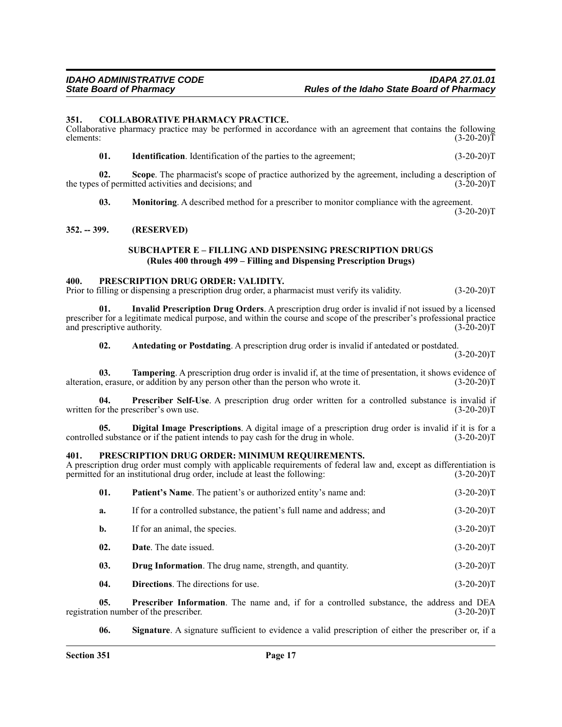#### **351. COLLABORATIVE PHARMACY PRACTICE.**

Collaborative pharmacy practice may be performed in accordance with an agreement that contains the following elements: (3-20-20) elements:  $(3-20-20)T$ 

**01.** Identification. Identification of the parties to the agreement; (3-20-20)T

**02. Scope**. The pharmacist's scope of practice authorized by the agreement, including a description of the types of permitted activities and decisions; and (3-20-20)T

**03. Monitoring**. A described method for a prescriber to monitor compliance with the agreement.

 $(3-20-20)T$ 

#### **352. -- 399. (RESERVED)**

### **SUBCHAPTER E – FILLING AND DISPENSING PRESCRIPTION DRUGS (Rules 400 through 499 – Filling and Dispensing Prescription Drugs)**

#### **400. PRESCRIPTION DRUG ORDER: VALIDITY.**

Prior to filling or dispensing a prescription drug order, a pharmacist must verify its validity. (3-20-20) T

**01. Invalid Prescription Drug Orders**. A prescription drug order is invalid if not issued by a licensed prescriber for a legitimate medical purpose, and within the course and scope of the prescriber's professional practice and prescriptive authority. (3-20-20)T

**02.** Antedating or Postdating. A prescription drug order is invalid if antedated or postdated.

 $(3-20-20)T$ 

**03. Tampering**. A prescription drug order is invalid if, at the time of presentation, it shows evidence of alteration, erasure, or addition by any person other than the person who wrote it. (3-20-20)T

**04. Prescriber Self-Use**. A prescription drug order written for a controlled substance is invalid if written for the prescriber's own use. (3-20-20)T

**05. Digital Image Prescriptions**. A digital image of a prescription drug order is invalid if it is for a controlled substance or if the patient intends to pay cash for the drug in whole. (3-20-20)T

#### **401. PRESCRIPTION DRUG ORDER: MINIMUM REQUIREMENTS.**

A prescription drug order must comply with applicable requirements of federal law and, except as differentiation is permitted for an institutional drug order, include at least the following: (3-20-20) permitted for an institutional drug order, include at least the following:

| 01.            | <b>Patient's Name.</b> The patient's or authorized entity's name and:   | $(3-20-20)T$ |
|----------------|-------------------------------------------------------------------------|--------------|
| a.             | If for a controlled substance, the patient's full name and address; and | $(3-20-20)T$ |
| $\mathbf{b}$ . | If for an animal, the species.                                          | $(3-20-20)T$ |
| 02.            | <b>Date.</b> The date issued.                                           | $(3-20-20)T$ |
| 03.            | <b>Drug Information.</b> The drug name, strength, and quantity.         | $(3-20-20)T$ |
| 04.            | <b>Directions.</b> The directions for use.                              | $(3-20-20)T$ |

**05. Prescriber Information**. The name and, if for a controlled substance, the address and DEA on number of the prescriber. (3-20-20) registration number of the prescriber.

**06. Signature**. A signature sufficient to evidence a valid prescription of either the prescriber or, if a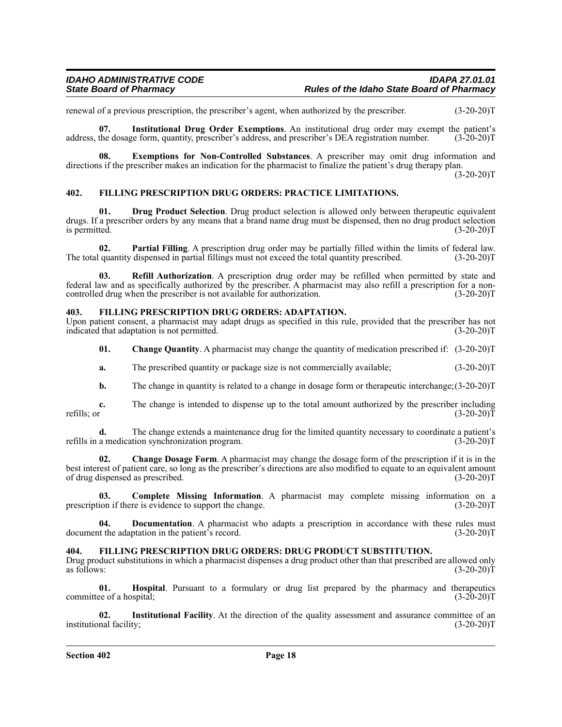renewal of a previous prescription, the prescriber's agent, when authorized by the prescriber. (3-20-20)T

**07.** Institutional Drug Order Exemptions. An institutional drug order may exempt the patient's the dosage form, quantity, prescriber's address, and prescriber's DEA registration number. (3-20-20) address, the dosage form, quantity, prescriber's address, and prescriber's DEA registration number.

**08. Exemptions for Non-Controlled Substances**. A prescriber may omit drug information and directions if the prescriber makes an indication for the pharmacist to finalize the patient's drug therapy plan.  $(3-20-20)T$ 

### **402. FILLING PRESCRIPTION DRUG ORDERS: PRACTICE LIMITATIONS.**

**01. Drug Product Selection**. Drug product selection is allowed only between therapeutic equivalent drugs. If a prescriber orders by any means that a brand name drug must be dispensed, then no drug product selection is permitted. (3-20-20)T

**02. Partial Filling**. A prescription drug order may be partially filled within the limits of federal law. quantity dispensed in partial fillings must not exceed the total quantity prescribed. (3-20-20)T The total quantity dispensed in partial fillings must not exceed the total quantity prescribed.

**03. Refill Authorization**. A prescription drug order may be refilled when permitted by state and federal law and as specifically authorized by the prescriber. A pharmacist may also refill a prescription for a noncontrolled drug when the prescriber is not available for authorization. (3-20-20)T

### **403. FILLING PRESCRIPTION DRUG ORDERS: ADAPTATION.**

Upon patient consent, a pharmacist may adapt drugs as specified in this rule, provided that the prescriber has not indicated that adaptation is not permitted. (3-20-20)T

**01. Change Quantity**. A pharmacist may change the quantity of medication prescribed if: (3-20-20)T

- **a.** The prescribed quantity or package size is not commercially available; (3-20-20)T
- **b.** The change in quantity is related to a change in dosage form or therapeutic interchange;  $(3-20-20)$ T

**c.** The change is intended to dispense up to the total amount authorized by the prescriber including refills; or  $(3-20-20)$ refills; or  $(3-20-20)T$ 

**d.** The change extends a maintenance drug for the limited quantity necessary to coordinate a patient's a medication synchronization program. (3-20-20) refills in a medication synchronization program.

**02. Change Dosage Form**. A pharmacist may change the dosage form of the prescription if it is in the best interest of patient care, so long as the prescriber's directions are also modified to equate to an equivalent amount of drug dispensed as prescribed. (3-20-20)T

**03.** Complete Missing Information. A pharmacist may complete missing information on a ion if there is evidence to support the change. (3-20-20) prescription if there is evidence to support the change.

**04. Documentation**. A pharmacist who adapts a prescription in accordance with these rules must document the adaptation in the patient's record. (3-20-20)T

**404.** FILLING PRESCRIPTION DRUG ORDERS: DRUG PRODUCT SUBSTITUTION.<br>Drug product substitutions in which a pharmacist dispenses a drug product other than that prescribed are allowed only as follows: (3-20-20)T as follows:  $(3-20-20)T$ 

**01. Hospital**. Pursuant to a formulary or drug list prepared by the pharmacy and therapeutics ee of a hospital; (3-20-20) committee of a hospital;

**02. Institutional Facility**. At the direction of the quality assessment and assurance committee of an institutional facility; (3-20-20)T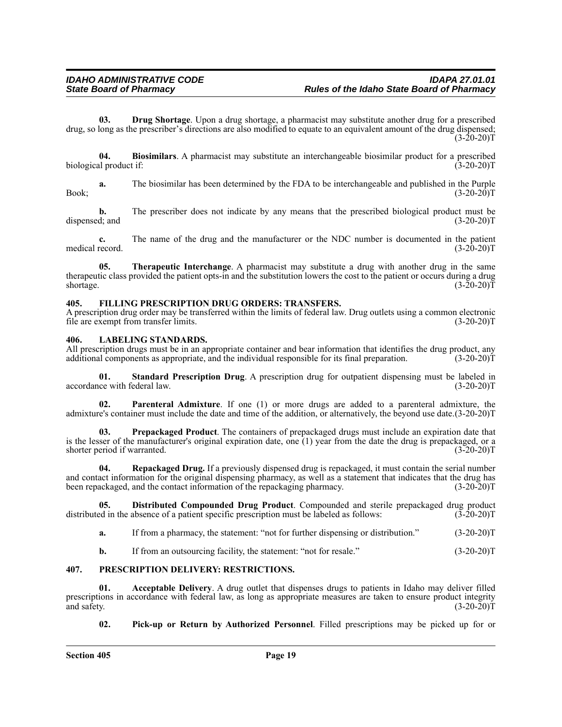**03. Drug Shortage**. Upon a drug shortage, a pharmacist may substitute another drug for a prescribed drug, so long as the prescriber's directions are also modified to equate to an equivalent amount of the drug dispensed;  $(3-20-20)$ T

**04. Biosimilars**. A pharmacist may substitute an interchangeable biosimilar product for a prescribed al product if: (3-20-20) biological product if:

**a.** The biosimilar has been determined by the FDA to be interchangeable and published in the Purple  $Book;$  (3-20-20)T

**b.** The prescriber does not indicate by any means that the prescribed biological product must be d; and (3-20-20)T dispensed; and

**c.** The name of the drug and the manufacturer or the NDC number is documented in the patient record. (3-20-20) medical record.

**05. Therapeutic Interchange**. A pharmacist may substitute a drug with another drug in the same therapeutic class provided the patient opts-in and the substitution lowers the cost to the patient or occurs during a drug shortage.  $(3-20-20)T$ 

### **405. FILLING PRESCRIPTION DRUG ORDERS: TRANSFERS.**

A prescription drug order may be transferred within the limits of federal law. Drug outlets using a common electronic file are exempt from transfer limits. (3-20-20)T

#### **406. LABELING STANDARDS.**

All prescription drugs must be in an appropriate container and bear information that identifies the drug product, any additional components as appropriate, and the individual responsible for its final preparation. (3-20-20 additional components as appropriate, and the individual responsible for its final preparation.

**01. Standard Prescription Drug**. A prescription drug for outpatient dispensing must be labeled in ce with federal law. (3-20-20) accordance with federal law.

**02. Parenteral Admixture**. If one (1) or more drugs are added to a parenteral admixture, the admixture's container must include the date and time of the addition, or alternatively, the beyond use date.(3-20-20)T

**03. Prepackaged Product**. The containers of prepackaged drugs must include an expiration date that is the lesser of the manufacturer's original expiration date, one (1) year from the date the drug is prepackaged, or a shorter period if warranted. (3-20-20)T

**04. Repackaged Drug.** If a previously dispensed drug is repackaged, it must contain the serial number and contact information for the original dispensing pharmacy, as well as a statement that indicates that the drug has been repackaged, and the contact information of the repackaging pharmacy. (3-20-20)T

**05. Distributed Compounded Drug Product**. Compounded and sterile prepackaged drug product ed in the absence of a patient specific prescription must be labeled as follows: (3-20-20)T distributed in the absence of a patient specific prescription must be labeled as follows:

- **a.** If from a pharmacy, the statement: "not for further dispensing or distribution." (3-20-20)T
- **b.** If from an outsourcing facility, the statement: "not for resale." (3-20-20)T

## **407. PRESCRIPTION DELIVERY: RESTRICTIONS.**

**01. Acceptable Delivery**. A drug outlet that dispenses drugs to patients in Idaho may deliver filled prescriptions in accordance with federal law, as long as appropriate measures are taken to ensure product integrity and safety. (3-20-20)T and safety.  $(3-20-20)T$ 

**02. Pick-up or Return by Authorized Personnel**. Filled prescriptions may be picked up for or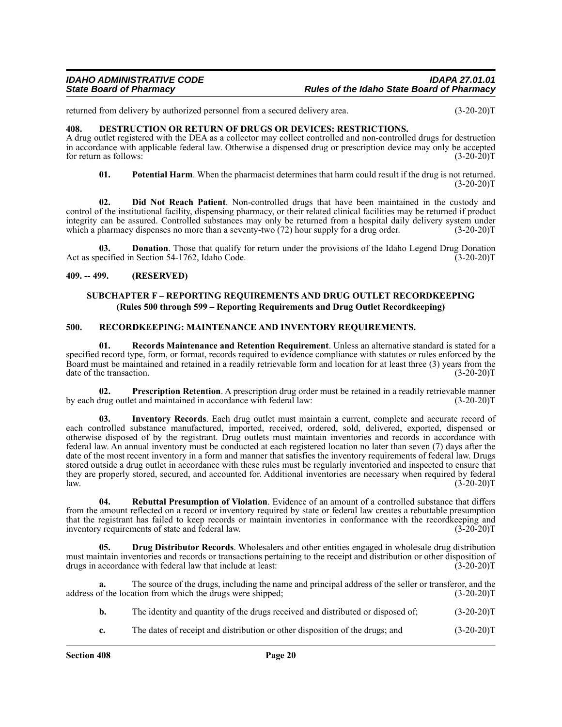## *IDAHO ADMINISTRATIVE CODE IDAPA 27.01.01 State Board of Pharmacy Rules of the Idaho State Board of Pharmacy*

returned from delivery by authorized personnel from a secured delivery area. (3-20-20)T

## **408. DESTRUCTION OR RETURN OF DRUGS OR DEVICES: RESTRICTIONS.**

A drug outlet registered with the DEA as a collector may collect controlled and non-controlled drugs for destruction in accordance with applicable federal law. Otherwise a dispensed drug or prescription device may only be accepted for return as follows: (3-20-20)T

**01. Potential Harm**. When the pharmacist determines that harm could result if the drug is not returned.  $(3-20-20)T$ 

**02. Did Not Reach Patient**. Non-controlled drugs that have been maintained in the custody and control of the institutional facility, dispensing pharmacy, or their related clinical facilities may be returned if product integrity can be assured. Controlled substances may only be returned from a hospital daily delivery system under which a pharmacy dispenses no more than a seventy-two (72) hour supply for a drug order. (3-20-20)T

**03. Donation**. Those that qualify for return under the provisions of the Idaho Legend Drug Donation pecified in Section 54-1762, Idaho Code. (3-20-20) Act as specified in Section 54-1762, Idaho Code.

### **409. -- 499. (RESERVED)**

### **SUBCHAPTER F – REPORTING REQUIREMENTS AND DRUG OUTLET RECORDKEEPING (Rules 500 through 599 – Reporting Requirements and Drug Outlet Recordkeeping)**

#### **500. RECORDKEEPING: MAINTENANCE AND INVENTORY REQUIREMENTS.**

**01. Records Maintenance and Retention Requirement**. Unless an alternative standard is stated for a specified record type, form, or format, records required to evidence compliance with statutes or rules enforced by the Board must be maintained and retained in a readily retrievable form and location for at least three (3) years from the date of the transaction.

**02.** Prescription Retention. A prescription drug order must be retained in a readily retrievable manner drug outlet and maintained in accordance with federal law: by each drug outlet and maintained in accordance with federal law:

**03. Inventory Records**. Each drug outlet must maintain a current, complete and accurate record of each controlled substance manufactured, imported, received, ordered, sold, delivered, exported, dispensed or otherwise disposed of by the registrant. Drug outlets must maintain inventories and records in accordance with federal law. An annual inventory must be conducted at each registered location no later than seven (7) days after the date of the most recent inventory in a form and manner that satisfies the inventory requirements of federal law. Drugs stored outside a drug outlet in accordance with these rules must be regularly inventoried and inspected to ensure that they are properly stored, secured, and accounted for. Additional inventories are necessary when required by federal law. (3-20-20)T  $l$ aw.  $(3-20-20)T$ 

**Rebuttal Presumption of Violation.** Evidence of an amount of a controlled substance that differs from the amount reflected on a record or inventory required by state or federal law creates a rebuttable presumption that the registrant has failed to keep records or maintain inventories in conformance with the recordkeeping and inventory requirements of state and federal law. (3-20-20) inventory requirements of state and federal law.

**05. Drug Distributor Records**. Wholesalers and other entities engaged in wholesale drug distribution must maintain inventories and records or transactions pertaining to the receipt and distribution or other disposition of drugs in accordance with federal law that include at least: (3-20-20) drugs in accordance with federal law that include at least:

**a.** The source of the drugs, including the name and principal address of the seller or transferor, and the address of the location from which the drugs were shipped; (3-20-20)T

|    | The identity and quantity of the drugs received and distributed or disposed of; | $(3-20-20)T$ |
|----|---------------------------------------------------------------------------------|--------------|
| c. | The dates of receipt and distribution or other disposition of the drugs; and    | $(3-20-20)T$ |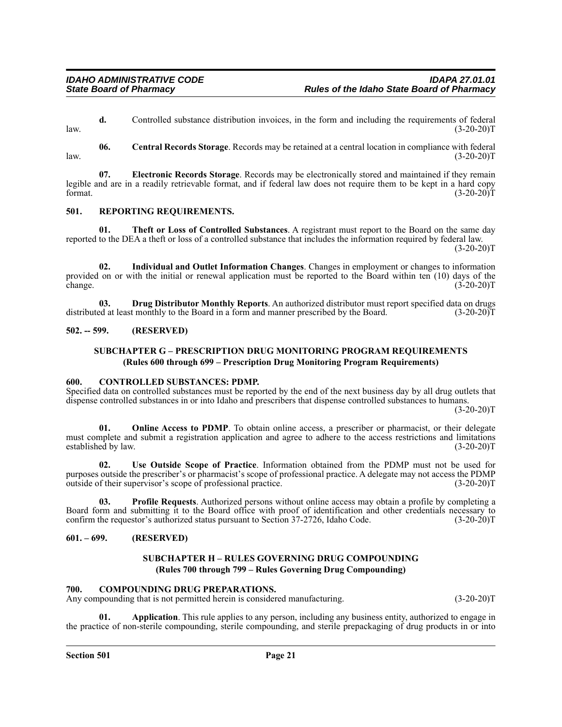**d.** Controlled substance distribution invoices, in the form and including the requirements of federal  $l$ aw.  $(3-20-20)T$ 

**06. Central Records Storage**. Records may be retained at a central location in compliance with federal  $l$ aw.  $(3-20-20)T$ 

**07. Electronic Records Storage**. Records may be electronically stored and maintained if they remain legible and are in a readily retrievable format, and if federal law does not require them to be kept in a hard copy format.  $(3-20-20)$ T

## **501. REPORTING REQUIREMENTS.**

**Theft or Loss of Controlled Substances**. A registrant must report to the Board on the same day reported to the DEA a theft or loss of a controlled substance that includes the information required by federal law.

 $(3-20-20)T$ 

**02. Individual and Outlet Information Changes**. Changes in employment or changes to information provided on or with the initial or renewal application must be reported to the Board within ten (10) days of the change.  $(3-20-20)T$ 

**03. Drug Distributor Monthly Reports**. An authorized distributor must report specified data on drugs ed at least monthly to the Board in a form and manner prescribed by the Board. (3-20-20) distributed at least monthly to the Board in a form and manner prescribed by the Board.

### **502. -- 599. (RESERVED)**

## **SUBCHAPTER G – PRESCRIPTION DRUG MONITORING PROGRAM REQUIREMENTS (Rules 600 through 699 – Prescription Drug Monitoring Program Requirements)**

#### **600. CONTROLLED SUBSTANCES: PDMP.**

Specified data on controlled substances must be reported by the end of the next business day by all drug outlets that dispense controlled substances in or into Idaho and prescribers that dispense controlled substances to humans.

 $(3-20-20)T$ 

**01.** Online Access to PDMP. To obtain online access, a prescriber or pharmacist, or their delegate must complete and submit a registration application and agree to adhere to the access restrictions and limitations established by law. (3-20-20) established by law.

**02. Use Outside Scope of Practice**. Information obtained from the PDMP must not be used for purposes outside the prescriber's or pharmacist's scope of professional practice. A delegate may not access the PDMP outside of their supervisor's scope of professional practice. (3-20-20) outside of their supervisor's scope of professional practice.

**03. Profile Requests**. Authorized persons without online access may obtain a profile by completing a Board form and submitting it to the Board office with proof of identification and other credentials necessary to confirm the requestor's authorized status pursuant to Section 37-2726, Idaho Code. (3-20-20)T

## **601. – 699. (RESERVED)**

## **SUBCHAPTER H – RULES GOVERNING DRUG COMPOUNDING (Rules 700 through 799 – Rules Governing Drug Compounding)**

#### **700. COMPOUNDING DRUG PREPARATIONS.**

Any compounding that is not permitted herein is considered manufacturing. (3-20-20)T

**01. Application**. This rule applies to any person, including any business entity, authorized to engage in the practice of non-sterile compounding, sterile compounding, and sterile prepackaging of drug products in or into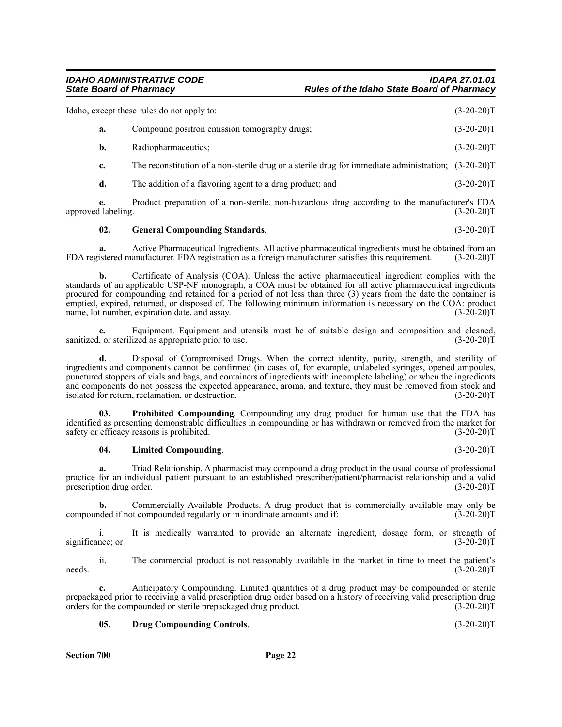|    | Idaho, except these rules do not apply to:                                                             | $(3-20-20)T$ |
|----|--------------------------------------------------------------------------------------------------------|--------------|
| a. | Compound positron emission tomography drugs;                                                           | $(3-20-20)T$ |
| b. | Radiopharmaceutics;                                                                                    | $(3-20-20)T$ |
| c. | The reconstitution of a non-sterile drug or a sterile drug for immediate administration; $(3-20-20)$ T |              |
| d. | The addition of a flavoring agent to a drug product; and                                               | $(3-20-20)T$ |

**e.** Product preparation of a non-sterile, non-hazardous drug according to the manufacturer's FDA approved labeling.

## **02. General Compounding Standards**. (3-20-20)T

**a.** Active Pharmaceutical Ingredients. All active pharmaceutical ingredients must be obtained from an istered manufacturer. FDA registration as a foreign manufacturer satisfies this requirement. (3-20-20)T FDA registered manufacturer. FDA registration as a foreign manufacturer satisfies this requirement.

**b.** Certificate of Analysis (COA). Unless the active pharmaceutical ingredient complies with the standards of an applicable USP-NF monograph, a COA must be obtained for all active pharmaceutical ingredients procured for compounding and retained for a period of not less than three (3) years from the date the container is emptied, expired, returned, or disposed of. The following minimum information is necessary on the COA: product name, lot number, expiration date, and assay. (3-20-20) name, lot number, expiration date, and assay.

Equipment. Equipment and utensils must be of suitable design and composition and cleaned, ized as appropriate prior to use. sanitized, or sterilized as appropriate prior to use.

**d.** Disposal of Compromised Drugs. When the correct identity, purity, strength, and sterility of ingredients and components cannot be confirmed (in cases of, for example, unlabeled syringes, opened ampoules, punctured stoppers of vials and bags, and containers of ingredients with incomplete labeling) or when the ingredients and components do not possess the expected appearance, aroma, and texture, they must be removed from stock and isolated for return, reclamation, or destruction. isolated for return, reclamation, or destruction.

**03. Prohibited Compounding**. Compounding any drug product for human use that the FDA has identified as presenting demonstrable difficulties in compounding or has withdrawn or removed from the market for safety or efficacy reasons is prohibited. (3-20-20)T

**04. Limited Compounding**. (3-20-20)T

**a.** Triad Relationship. A pharmacist may compound a drug product in the usual course of professional practice for an individual patient pursuant to an established prescriber/patient/pharmacist relationship and a valid prescription drug order. (3-20-20)T

**b.** Commercially Available Products. A drug product that is commercially available may only be nded if not compounded regularly or in inordinate amounts and if:  $(3-20-20)$ compounded if not compounded regularly or in inordinate amounts and if:

i. It is medically warranted to provide an alternate ingredient, dosage form, or strength of significance; or (3-20-20)T

ii. The commercial product is not reasonably available in the market in time to meet the patient's needs.  $(3-20-20)T$ 

**c.** Anticipatory Compounding. Limited quantities of a drug product may be compounded or sterile prepackaged prior to receiving a valid prescription drug order based on a history of receiving valid prescription drug orders for the compounded or sterile prepackaged drug product. (3-20-20) orders for the compounded or sterile prepackaged drug product.

## **05. Drug Compounding Controls**. (3-20-20)T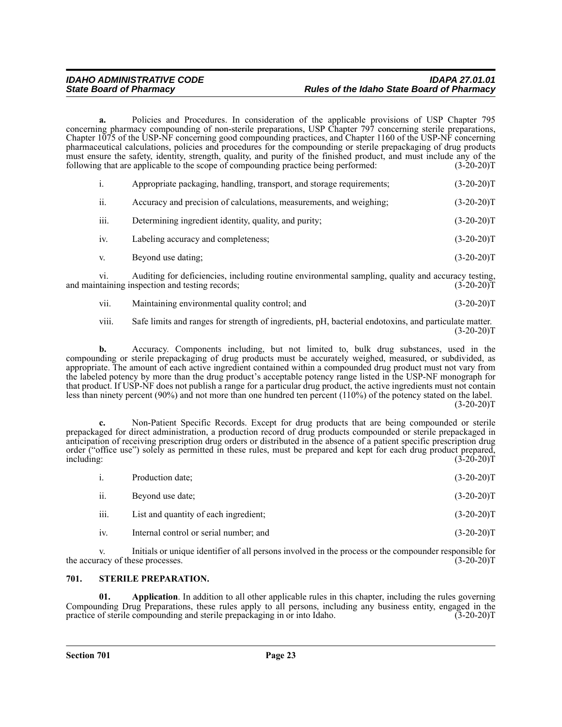**a.** Policies and Procedures. In consideration of the applicable provisions of USP Chapter 795 concerning pharmacy compounding of non-sterile preparations, USP Chapter 797 concerning sterile preparations, Chapter 1075 of the USP-NF concerning good compounding practices, and Chapter 1160 of the USP-NF concerning pharmaceutical calculations, policies and procedures for the compounding or sterile prepackaging of drug products must ensure the safety, identity, strength, quality, and purity of the finished product, and must include any of the following that are applicable to the scope of compounding practice being performed: (3-20-20) following that are applicable to the scope of compounding practice being performed:

|      | Appropriate packaging, handling, transport, and storage requirements; | $(3-20-20)T$ |
|------|-----------------------------------------------------------------------|--------------|
| ii.  | Accuracy and precision of calculations, measurements, and weighing:   | $(3-20-20)T$ |
| iii. | Determining ingredient identity, quality, and purity;                 | $(3-20-20)T$ |

- iv. Labeling accuracy and completeness; (3-20-20)T
- v. Beyond use dating; (3-20-20)T

vi. Auditing for deficiencies, including routine environmental sampling, quality and accuracy testing, taining inspection and testing records: (3-20-20) and maintaining inspection and testing records;

vii. Maintaining environmental quality control; and  $(3-20-20)$ T

viii. Safe limits and ranges for strength of ingredients, pH, bacterial endotoxins, and particulate matter.  $(3-20-20)T$ 

**b.** Accuracy. Components including, but not limited to, bulk drug substances, used in the compounding or sterile prepackaging of drug products must be accurately weighed, measured, or subdivided, as appropriate. The amount of each active ingredient contained within a compounded drug product must not vary from the labeled potency by more than the drug product's acceptable potency range listed in the USP-NF monograph for that product. If USP-NF does not publish a range for a particular drug product, the active ingredients must not contain less than ninety percent (90%) and not more than one hundred ten percent (110%) of the potency stated on the label.  $(3-20-20)T$ 

**c.** Non-Patient Specific Records. Except for drug products that are being compounded or sterile prepackaged for direct administration, a production record of drug products compounded or sterile prepackaged in anticipation of receiving prescription drug orders or distributed in the absence of a patient specific prescription drug order ("office use") solely as permitted in these rules, must be prepared and kept for each drug product prepared, including: (3-20-20)T

| i.   | Production date;                       | $(3-20-20)T$ |
|------|----------------------------------------|--------------|
| ii.  | Beyond use date;                       | $(3-20-20)T$ |
| iii. | List and quantity of each ingredient;  | $(3-20-20)T$ |
| iv.  | Internal control or serial number; and | $(3-20-20)T$ |

Initials or unique identifier of all persons involved in the process or the compounder responsible for ese processes. (3-20-20) the accuracy of these processes.

## **701. STERILE PREPARATION.**

**01. Application**. In addition to all other applicable rules in this chapter, including the rules governing Compounding Drug Preparations, these rules apply to all persons, including any business entity, engaged in the practice of sterile compounding and sterile prepackaging in or into Idaho. (3-20-20) practice of sterile compounding and sterile prepackaging in or into Idaho.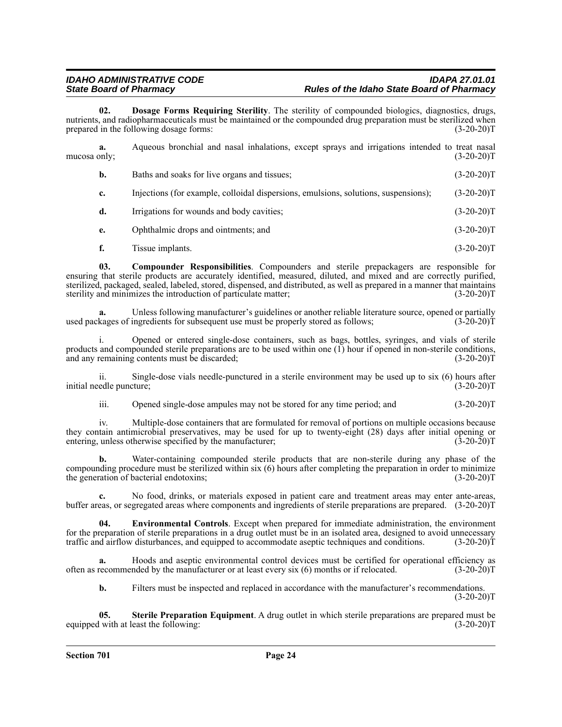## *IDAHO ADMINISTRATIVE CODE IDAPA 27.01.01 State Board of Pharmacy Rules of the Idaho State Board of Pharmacy*

**02. Dosage Forms Requiring Sterility**. The sterility of compounded biologics, diagnostics, drugs, nutrients, and radiopharmaceuticals must be maintained or the compounded drug preparation must be sterilized when prepared in the following dosage forms: (3-20-20)T

| mucosa only; | a. | Aqueous bronchial and nasal inhalations, except sprays and irrigations intended to treat nasal | $(3-20-20)T$ |
|--------------|----|------------------------------------------------------------------------------------------------|--------------|
|              | b. | Baths and soaks for live organs and tissues;                                                   | $(3-20-20)T$ |
|              | c. | Injections (for example, colloidal dispersions, emulsions, solutions, suspensions);            | $(3-20-20)T$ |
|              | d. | Irrigations for wounds and body cavities;                                                      | $(3-20-20)T$ |
|              | e. | Ophthalmic drops and ointments; and                                                            | $(3-20-20)T$ |
|              |    | Tissue implants.                                                                               | $(3-20-20)T$ |

**03. Compounder Responsibilities**. Compounders and sterile prepackagers are responsible for ensuring that sterile products are accurately identified, measured, diluted, and mixed and are correctly purified, sterilized, packaged, sealed, labeled, stored, dispensed, and distributed, as well as prepared in a manner that maintains sterility and minimizes the introduction of particulate matter; (3-20-20)T

Unless following manufacturer's guidelines or another reliable literature source, opened or partially used packages of ingredients for subsequent use must be properly stored as follows; (3-20-20)T

i. Opened or entered single-dose containers, such as bags, bottles, syringes, and vials of sterile products and compounded sterile preparations are to be used within one  $(1)$  hour if opened in non-sterile conditions, and any remaining contents must be discarded;  $(3-20-20)$ and any remaining contents must be discarded;

ii. Single-dose vials needle-punctured in a sterile environment may be used up to six (6) hours after edle puncture; (3-20-20) initial needle puncture;

iii. Opened single-dose ampules may not be stored for any time period; and (3-20-20)T

iv. Multiple-dose containers that are formulated for removal of portions on multiple occasions because they contain antimicrobial preservatives, may be used for up to twenty-eight (28) days after initial opening or<br>entering unless otherwise specified by the manufacturer: (3-20-20) entering, unless otherwise specified by the manufacturer;

Water-containing compounded sterile products that are non-sterile during any phase of the compounding procedure must be sterilized within six (6) hours after completing the preparation in order to minimize the generation of bacterial endotoxins; (3-20-20)T

**c.** No food, drinks, or materials exposed in patient care and treatment areas may enter ante-areas, buffer areas, or segregated areas where components and ingredients of sterile preparations are prepared. (3-20-20)T

**04. Environmental Controls**. Except when prepared for immediate administration, the environment for the preparation of sterile preparations in a drug outlet must be in an isolated area, designed to avoid unnecessary traffic and airflow disturbances, and equipped to accommodate aseptic techniques and conditions. (3-20-20)T

**a.** Hoods and aseptic environmental control devices must be certified for operational efficiency as often as recommended by the manufacturer or at least every six  $(6)$  months or if relocated.  $(3-20-20)T$ 

**b.** Filters must be inspected and replaced in accordance with the manufacturer's recommendations.  $(3-20-20)T$ 

**05. Sterile Preparation Equipment**. A drug outlet in which sterile preparations are prepared must be equipped with at least the following: (3-20-20)T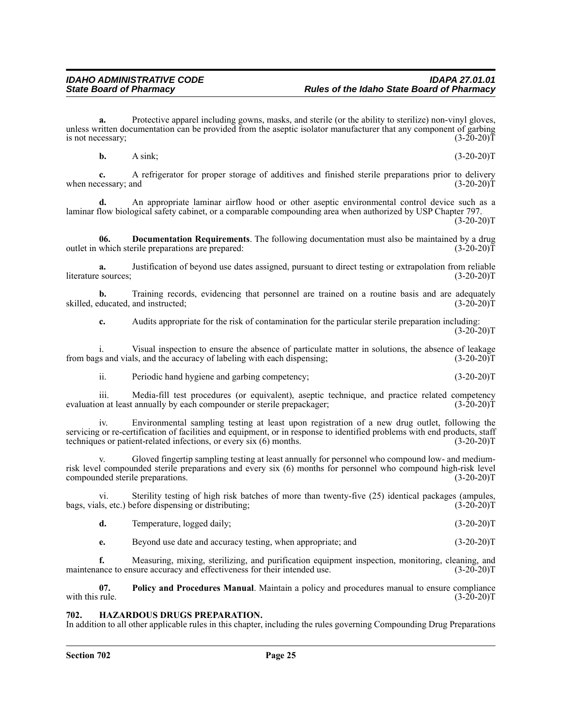**a.** Protective apparel including gowns, masks, and sterile (or the ability to sterilize) non-vinyl gloves, unless written documentation can be provided from the aseptic isolator manufacturer that any component of garbing<br>is not necessary: (3-20-20) is not necessary;

**b.** A sink; (3-20-20)T

**c.** A refrigerator for proper storage of additives and finished sterile preparations prior to delivery when necessary; and (3-20-20)T

**d.** An appropriate laminar airflow hood or other aseptic environmental control device such as a laminar flow biological safety cabinet, or a comparable compounding area when authorized by USP Chapter 797.  $(3-20-20)T$ 

**06. Documentation Requirements**. The following documentation must also be maintained by a drug which sterile preparations are prepared: (3-20-20) outlet in which sterile preparations are prepared:

**a.** Justification of beyond use dates assigned, pursuant to direct testing or extrapolation from reliable literature sources; (3-20-20)T

**b.** Training records, evidencing that personnel are trained on a routine basis and are adequately ducated, and instructed; (3-20-20) skilled, educated, and instructed;

**c.** Audits appropriate for the risk of contamination for the particular sterile preparation including:  $(3-20-20)T$ 

i. Visual inspection to ensure the absence of particulate matter in solutions, the absence of leakage variables as and vials, and the accuracy of labeling with each dispensing; (3-20-20) from bags and vials, and the accuracy of labeling with each dispensing;

ii. Periodic hand hygiene and garbing competency; (3-20-20)T

iii. Media-fill test procedures (or equivalent), aseptic technique, and practice related competency evaluation at least annually by each compounder or sterile prepackager; (3-20-20)T

iv. Environmental sampling testing at least upon registration of a new drug outlet, following the servicing or re-certification of facilities and equipment, or in response to identified problems with end products, staff techniques or patient-related infections, or every six (6) months. (3-20-20) techniques or patient-related infections, or every six  $(6)$  months.

Gloved fingertip sampling testing at least annually for personnel who compound low- and mediumrisk level compounded sterile preparations and every six (6) months for personnel who compound high-risk level compounded sterile preparations. (3-20-20)T

vi. Sterility testing of high risk batches of more than twenty-five (25) identical packages (ampules, bags, vials, etc.) before dispensing or distributing; (3-20-20)T

| Temperature, logged daily;<br>d. | $(3-20-20)T$ |
|----------------------------------|--------------|
|----------------------------------|--------------|

**e.** Beyond use date and accuracy testing, when appropriate; and  $(3-20-20)T$ 

**f.** Measuring, mixing, sterilizing, and purification equipment inspection, monitoring, cleaning, and maintenance to ensure accuracy and effectiveness for their intended use. (3-20-20)T

**07.** Policy and Procedures Manual. Maintain a policy and procedures manual to ensure compliance rule. (3-20-20) with this rule.

## *HAZARDOUS DRUGS PREPARATION.*

In addition to all other applicable rules in this chapter, including the rules governing Compounding Drug Preparations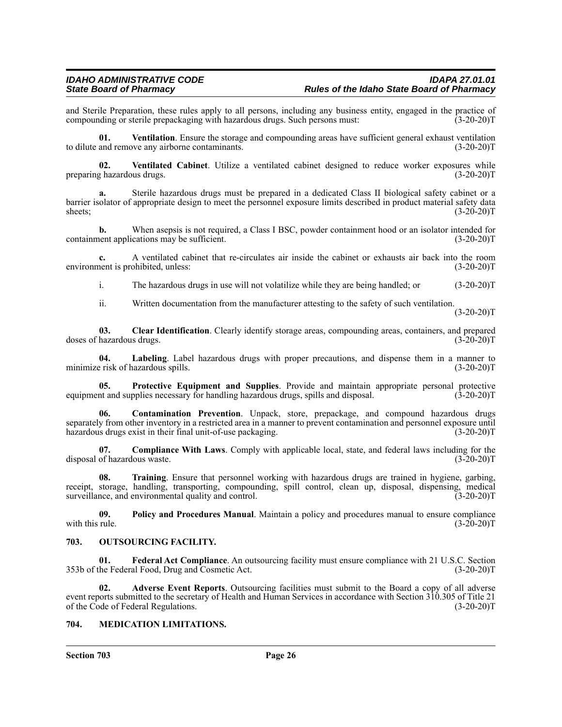and Sterile Preparation, these rules apply to all persons, including any business entity, engaged in the practice of compounding or sterile prepackaging with hazardous drugs. Such persons must: (3-20-20) compounding or sterile prepackaging with hazardous drugs. Such persons must:

**01. Ventilation**. Ensure the storage and compounding areas have sufficient general exhaust ventilation to dilute and remove any airborne contaminants. (3-20-20)T

**02.** Ventilated Cabinet. Utilize a ventilated cabinet designed to reduce worker exposures while g hazardous drugs. (3-20-20) preparing hazardous drugs.

**a.** Sterile hazardous drugs must be prepared in a dedicated Class II biological safety cabinet or a barrier isolator of appropriate design to meet the personnel exposure limits described in product material safety data sheets; (3-20-20)T sheets;  $(3-20-20)T$ 

**b.** When asepsis is not required, a Class I BSC, powder containment hood or an isolator intended for containment applications may be sufficient. (3-20-20)T

**c.** A ventilated cabinet that re-circulates air inside the cabinet or exhausts air back into the room environment is prohibited, unless: (3-20-20)T

i. The hazardous drugs in use will not volatilize while they are being handled; or (3-20-20)T

ii. Written documentation from the manufacturer attesting to the safety of such ventilation.

 $(3-20-20)T$ 

**03.** Clear Identification. Clearly identify storage areas, compounding areas, containers, and prepared hazardous drugs. (3-20-20)T doses of hazardous drugs.

**04.** Labeling. Label hazardous drugs with proper precautions, and dispense them in a manner to exist of hazardous spills. (3-20-20) minimize risk of hazardous spills.

**05.** Protective Equipment and Supplies. Provide and maintain appropriate personal protective int and supplies necessary for handling hazardous drugs, spills and disposal. (3-20-20) equipment and supplies necessary for handling hazardous drugs, spills and disposal.

**06. Contamination Prevention**. Unpack, store, prepackage, and compound hazardous drugs separately from other inventory in a restricted area in a manner to prevent contamination and personnel exposure until hazardous drugs exist in their final unit-of-use packaging. (3-20-20)T

**07. Compliance With Laws**. Comply with applicable local, state, and federal laws including for the disposal of hazardous waste. (3-20-20)T

**08. Training**. Ensure that personnel working with hazardous drugs are trained in hygiene, garbing, receipt, storage, handling, transporting, compounding, spill control, clean up, disposal, dispensing, medical surveillance, and environmental quality and control. (3-20-20) T

**09.** Policy and Procedures Manual. Maintain a policy and procedures manual to ensure compliance with this rule. (3-20-20)T with this rule.  $(3-20-20)T$ 

## **703. OUTSOURCING FACILITY.**

**01. Federal Act Compliance**. An outsourcing facility must ensure compliance with 21 U.S.C. Section 353b of the Federal Food, Drug and Cosmetic Act. (3-20-20)T

**02. Adverse Event Reports**. Outsourcing facilities must submit to the Board a copy of all adverse event reports submitted to the secretary of Health and Human Services in accordance with Section 310.305 of Title 21 of the Code of Federal Regulations. (3-20-20) of the Code of Federal Regulations.

#### **704. MEDICATION LIMITATIONS.**